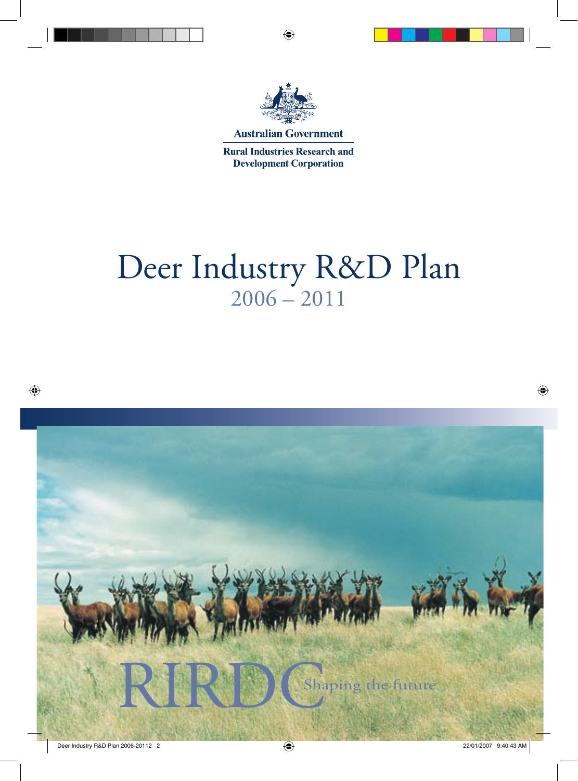

**Australian Government** 

**Rural Industries Research and Development Corporation** 

# Deer Industry R&D Plan  $2006 - 2011$

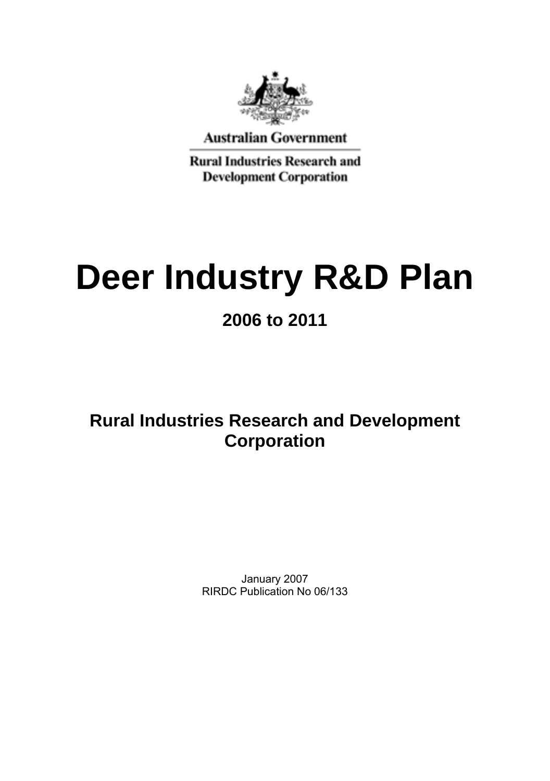

**Australian Government** 

**Rural Industries Research and Development Corporation** 

# **Deer Industry R&D Plan**

**2006 to 2011** 

**Rural Industries Research and Development Corporation** 

> January 2007 RIRDC Publication No 06/133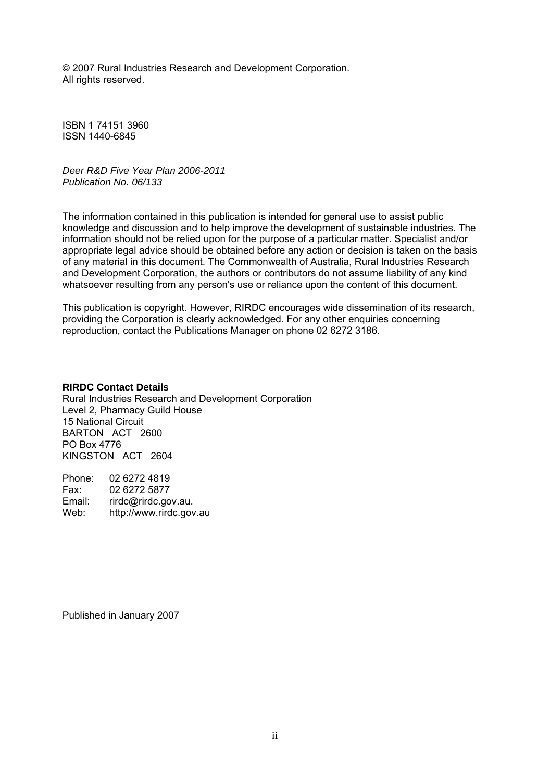© 2007 Rural Industries Research and Development Corporation. All rights reserved.

ISBN 1 74151 3960 ISSN 1440-6845

*Deer R&D Five Year Plan 2006-2011 Publication No. 06/133* 

The information contained in this publication is intended for general use to assist public knowledge and discussion and to help improve the development of sustainable industries. The information should not be relied upon for the purpose of a particular matter. Specialist and/or appropriate legal advice should be obtained before any action or decision is taken on the basis of any material in this document. The Commonwealth of Australia, Rural Industries Research and Development Corporation, the authors or contributors do not assume liability of any kind whatsoever resulting from any person's use or reliance upon the content of this document.

This publication is copyright. However, RIRDC encourages wide dissemination of its research, providing the Corporation is clearly acknowledged. For any other enquiries concerning reproduction, contact the Publications Manager on phone 02 6272 3186.

#### **RIRDC Contact Details**

Rural Industries Research and Development Corporation Level 2, Pharmacy Guild House 15 National Circuit BARTON ACT 2600 PO Box 4776 KINGSTON ACT 2604

Phone: 02 6272 4819 Fax: 02 6272 5877<br>Fmail: rirdc@rirdc.go Email: rirdc@rirdc.gov.au.<br>Web: http://www.rirdc.gov http://www.rirdc.gov.au

Published in January 2007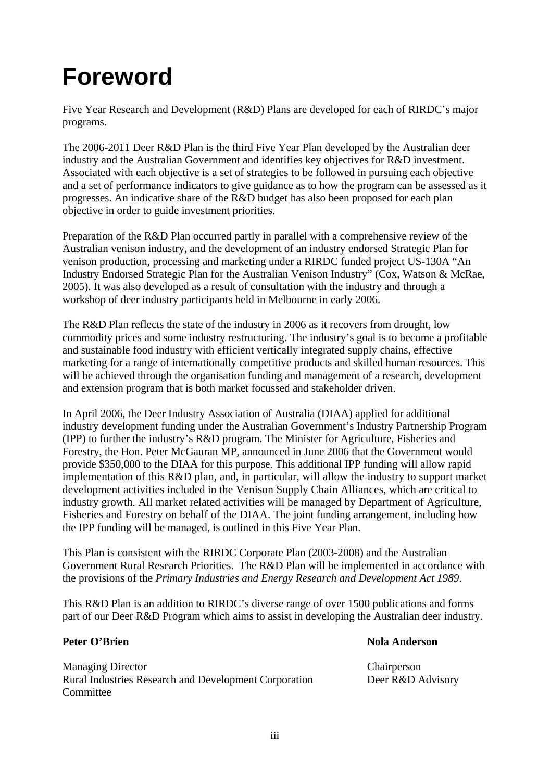## <span id="page-3-0"></span>**Foreword**

Five Year Research and Development (R&D) Plans are developed for each of RIRDC's major programs.

The 2006-2011 Deer R&D Plan is the third Five Year Plan developed by the Australian deer industry and the Australian Government and identifies key objectives for R&D investment. Associated with each objective is a set of strategies to be followed in pursuing each objective and a set of performance indicators to give guidance as to how the program can be assessed as it progresses. An indicative share of the R&D budget has also been proposed for each plan objective in order to guide investment priorities.

Preparation of the R&D Plan occurred partly in parallel with a comprehensive review of the Australian venison industry, and the development of an industry endorsed Strategic Plan for venison production, processing and marketing under a RIRDC funded project US-130A "An Industry Endorsed Strategic Plan for the Australian Venison Industry" (Cox, Watson & McRae, 2005). It was also developed as a result of consultation with the industry and through a workshop of deer industry participants held in Melbourne in early 2006.

The R&D Plan reflects the state of the industry in 2006 as it recovers from drought, low commodity prices and some industry restructuring. The industry's goal is to become a profitable and sustainable food industry with efficient vertically integrated supply chains, effective marketing for a range of internationally competitive products and skilled human resources. This will be achieved through the organisation funding and management of a research, development and extension program that is both market focussed and stakeholder driven.

In April 2006, the Deer Industry Association of Australia (DIAA) applied for additional industry development funding under the Australian Government's Industry Partnership Program (IPP) to further the industry's R&D program. The Minister for Agriculture, Fisheries and Forestry, the Hon. Peter McGauran MP, announced in June 2006 that the Government would provide \$350,000 to the DIAA for this purpose. This additional IPP funding will allow rapid implementation of this R&D plan, and, in particular, will allow the industry to support market development activities included in the Venison Supply Chain Alliances, which are critical to industry growth. All market related activities will be managed by Department of Agriculture, Fisheries and Forestry on behalf of the DIAA. The joint funding arrangement, including how the IPP funding will be managed, is outlined in this Five Year Plan.

This Plan is consistent with the RIRDC Corporate Plan (2003-2008) and the Australian Government Rural Research Priorities. The R&D Plan will be implemented in accordance with the provisions of the *Primary Industries and Energy Research and Development Act 1989*.

This R&D Plan is an addition to RIRDC's diverse range of over 1500 publications and forms part of our Deer R&D Program which aims to assist in developing the Australian deer industry.

#### **Peter O'Brien Nola Anderson Nola Anderson Nola Anderson**

Managing Director Chairperson Rural Industries Research and Development Corporation Deer R&D Advisory **Committee**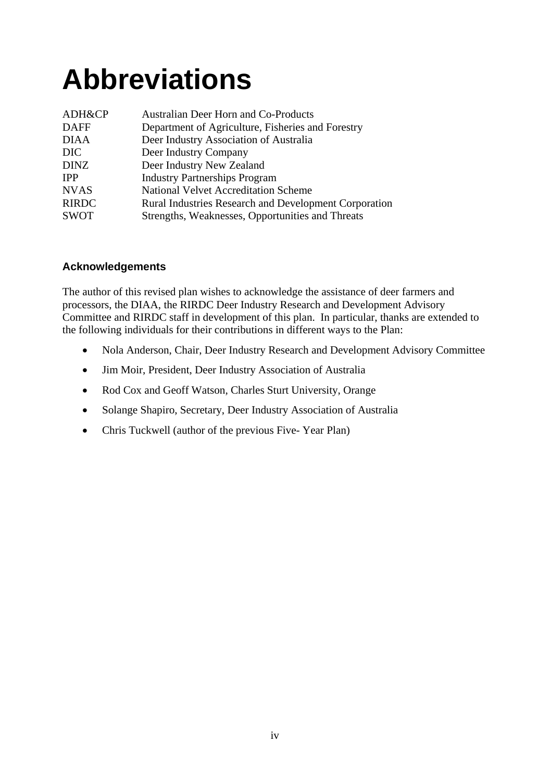# **Abbreviations**

| ADH&CP       | Australian Deer Horn and Co-Products                  |
|--------------|-------------------------------------------------------|
| <b>DAFF</b>  | Department of Agriculture, Fisheries and Forestry     |
| <b>DIAA</b>  | Deer Industry Association of Australia                |
| DIC.         | Deer Industry Company                                 |
| <b>DINZ</b>  | Deer Industry New Zealand                             |
| <b>IPP</b>   | <b>Industry Partnerships Program</b>                  |
| <b>NVAS</b>  | National Velvet Accreditation Scheme                  |
| <b>RIRDC</b> | Rural Industries Research and Development Corporation |
| <b>SWOT</b>  | Strengths, Weaknesses, Opportunities and Threats      |

#### **Acknowledgements**

The author of this revised plan wishes to acknowledge the assistance of deer farmers and processors, the DIAA, the RIRDC Deer Industry Research and Development Advisory Committee and RIRDC staff in development of this plan. In particular, thanks are extended to the following individuals for their contributions in different ways to the Plan:

- Nola Anderson, Chair, Deer Industry Research and Development Advisory Committee
- Jim Moir, President, Deer Industry Association of Australia
- Rod Cox and Geoff Watson, Charles Sturt University, Orange
- Solange Shapiro, Secretary, Deer Industry Association of Australia
- Chris Tuckwell (author of the previous Five- Year Plan)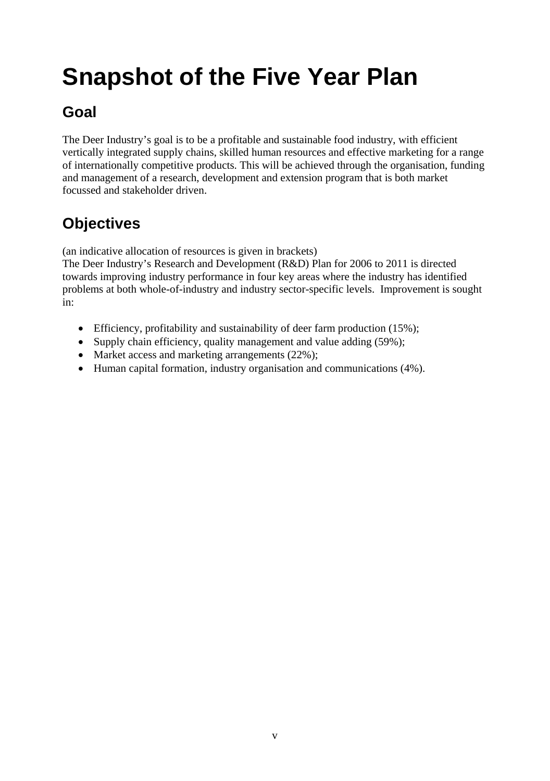## <span id="page-5-0"></span>**Snapshot of the Five Year Plan**

## **Goal**

The Deer Industry's goal is to be a profitable and sustainable food industry, with efficient vertically integrated supply chains, skilled human resources and effective marketing for a range of internationally competitive products. This will be achieved through the organisation, funding and management of a research, development and extension program that is both market focussed and stakeholder driven.

## **Objectives**

(an indicative allocation of resources is given in brackets)

The Deer Industry's Research and Development (R&D) Plan for 2006 to 2011 is directed towards improving industry performance in four key areas where the industry has identified problems at both whole-of-industry and industry sector-specific levels. Improvement is sought in:

- Efficiency, profitability and sustainability of deer farm production (15%);
- Supply chain efficiency, quality management and value adding (59%);
- Market access and marketing arrangements (22%);
- Human capital formation, industry organisation and communications (4%).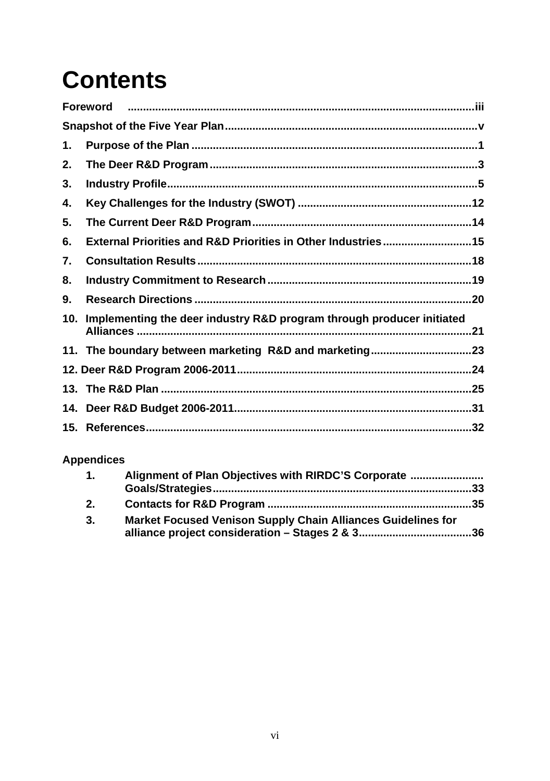## **Contents**

|     | <b>Foreword</b>                                                       |  |
|-----|-----------------------------------------------------------------------|--|
|     |                                                                       |  |
| 1.  |                                                                       |  |
| 2.  |                                                                       |  |
| 3.  |                                                                       |  |
| 4.  |                                                                       |  |
| 5.  |                                                                       |  |
| 6.  | External Priorities and R&D Priorities in Other Industries 15         |  |
| 7.  |                                                                       |  |
| 8.  |                                                                       |  |
| 9.  |                                                                       |  |
| 10. | Implementing the deer industry R&D program through producer initiated |  |
|     | 11. The boundary between marketing R&D and marketing23                |  |
|     |                                                                       |  |
|     |                                                                       |  |
|     |                                                                       |  |
|     |                                                                       |  |

### **Appendices**

| $\mathbf{1}$ . | Alignment of Plan Objectives with RIRDC'S Corporate          |  |  |
|----------------|--------------------------------------------------------------|--|--|
|                |                                                              |  |  |
| 2.             |                                                              |  |  |
| 3.             | Market Focused Venison Supply Chain Alliances Guidelines for |  |  |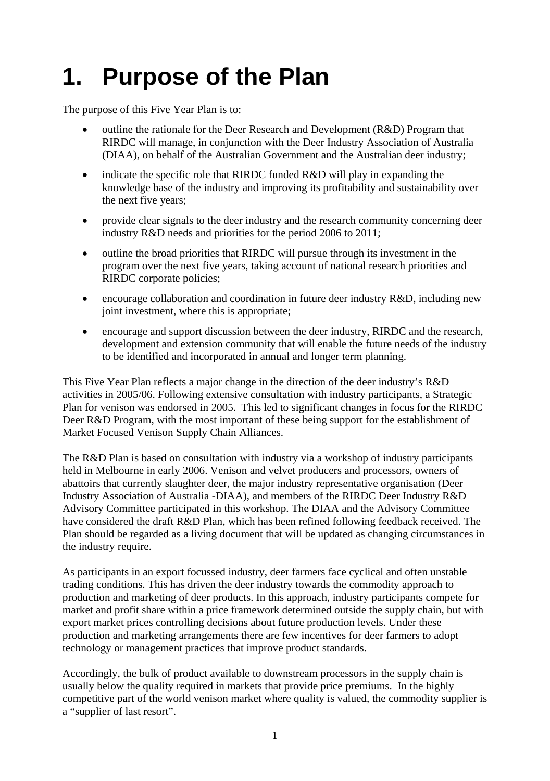## <span id="page-7-0"></span>**1. Purpose of the Plan**

The purpose of this Five Year Plan is to:

- outline the rationale for the Deer Research and Development (R&D) Program that RIRDC will manage, in conjunction with the Deer Industry Association of Australia (DIAA), on behalf of the Australian Government and the Australian deer industry;
- indicate the specific role that RIRDC funded R&D will play in expanding the knowledge base of the industry and improving its profitability and sustainability over the next five years;
- provide clear signals to the deer industry and the research community concerning deer industry R&D needs and priorities for the period 2006 to 2011;
- outline the broad priorities that RIRDC will pursue through its investment in the program over the next five years, taking account of national research priorities and RIRDC corporate policies;
- encourage collaboration and coordination in future deer industry R&D, including new joint investment, where this is appropriate;
- encourage and support discussion between the deer industry, RIRDC and the research, development and extension community that will enable the future needs of the industry to be identified and incorporated in annual and longer term planning.

This Five Year Plan reflects a major change in the direction of the deer industry's R&D activities in 2005/06. Following extensive consultation with industry participants, a Strategic Plan for venison was endorsed in 2005. This led to significant changes in focus for the RIRDC Deer R&D Program, with the most important of these being support for the establishment of Market Focused Venison Supply Chain Alliances.

The R&D Plan is based on consultation with industry via a workshop of industry participants held in Melbourne in early 2006. Venison and velvet producers and processors, owners of abattoirs that currently slaughter deer, the major industry representative organisation (Deer Industry Association of Australia -DIAA), and members of the RIRDC Deer Industry R&D Advisory Committee participated in this workshop. The DIAA and the Advisory Committee have considered the draft R&D Plan, which has been refined following feedback received. The Plan should be regarded as a living document that will be updated as changing circumstances in the industry require.

As participants in an export focussed industry, deer farmers face cyclical and often unstable trading conditions. This has driven the deer industry towards the commodity approach to production and marketing of deer products. In this approach, industry participants compete for market and profit share within a price framework determined outside the supply chain, but with export market prices controlling decisions about future production levels. Under these production and marketing arrangements there are few incentives for deer farmers to adopt technology or management practices that improve product standards.

Accordingly, the bulk of product available to downstream processors in the supply chain is usually below the quality required in markets that provide price premiums. In the highly competitive part of the world venison market where quality is valued, the commodity supplier is a "supplier of last resort".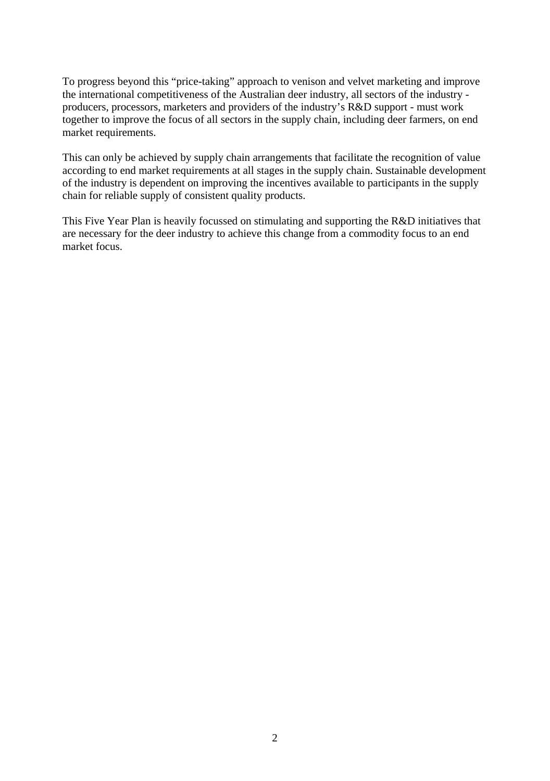To progress beyond this "price-taking" approach to venison and velvet marketing and improve the international competitiveness of the Australian deer industry, all sectors of the industry producers, processors, marketers and providers of the industry's R&D support - must work together to improve the focus of all sectors in the supply chain, including deer farmers, on end market requirements.

This can only be achieved by supply chain arrangements that facilitate the recognition of value according to end market requirements at all stages in the supply chain. Sustainable development of the industry is dependent on improving the incentives available to participants in the supply chain for reliable supply of consistent quality products.

This Five Year Plan is heavily focussed on stimulating and supporting the R&D initiatives that are necessary for the deer industry to achieve this change from a commodity focus to an end market focus.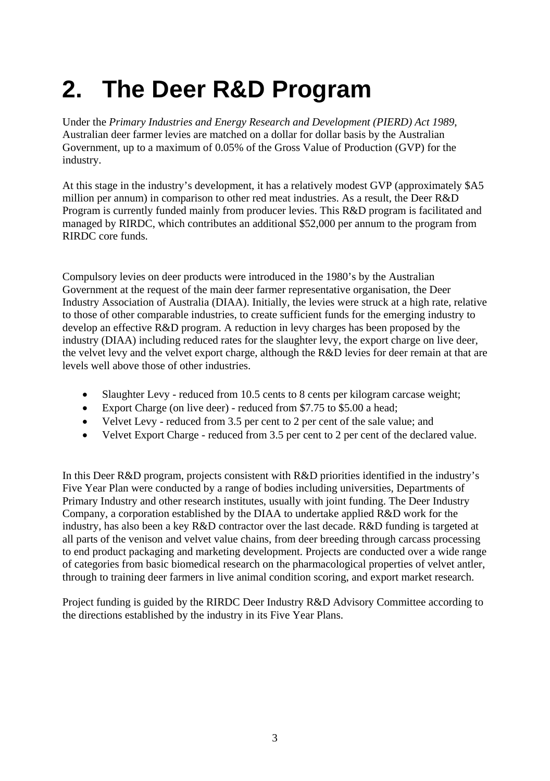## <span id="page-9-0"></span>**2. The Deer R&D Program**

Under the *Primary Industries and Energy Research and Development (PIERD) Act 1989*, Australian deer farmer levies are matched on a dollar for dollar basis by the Australian Government, up to a maximum of 0.05% of the Gross Value of Production (GVP) for the industry.

At this stage in the industry's development, it has a relatively modest GVP (approximately \$A5 million per annum) in comparison to other red meat industries. As a result, the Deer R&D Program is currently funded mainly from producer levies. This R&D program is facilitated and managed by RIRDC, which contributes an additional \$52,000 per annum to the program from RIRDC core funds.

Compulsory levies on deer products were introduced in the 1980's by the Australian Government at the request of the main deer farmer representative organisation, the Deer Industry Association of Australia (DIAA). Initially, the levies were struck at a high rate, relative to those of other comparable industries, to create sufficient funds for the emerging industry to develop an effective R&D program. A reduction in levy charges has been proposed by the industry (DIAA) including reduced rates for the slaughter levy, the export charge on live deer, the velvet levy and the velvet export charge, although the R&D levies for deer remain at that are levels well above those of other industries.

- Slaughter Levy reduced from 10.5 cents to 8 cents per kilogram carcase weight;
- Export Charge (on live deer) reduced from \$7.75 to \$5.00 a head;
- Velvet Levy reduced from 3.5 per cent to 2 per cent of the sale value; and
- Velvet Export Charge reduced from 3.5 per cent to 2 per cent of the declared value.

In this Deer R&D program, projects consistent with R&D priorities identified in the industry's Five Year Plan were conducted by a range of bodies including universities, Departments of Primary Industry and other research institutes, usually with joint funding. The Deer Industry Company, a corporation established by the DIAA to undertake applied R&D work for the industry, has also been a key R&D contractor over the last decade. R&D funding is targeted at all parts of the venison and velvet value chains, from deer breeding through carcass processing to end product packaging and marketing development. Projects are conducted over a wide range of categories from basic biomedical research on the pharmacological properties of velvet antler, through to training deer farmers in live animal condition scoring, and export market research.

Project funding is guided by the RIRDC Deer Industry R&D Advisory Committee according to the directions established by the industry in its Five Year Plans.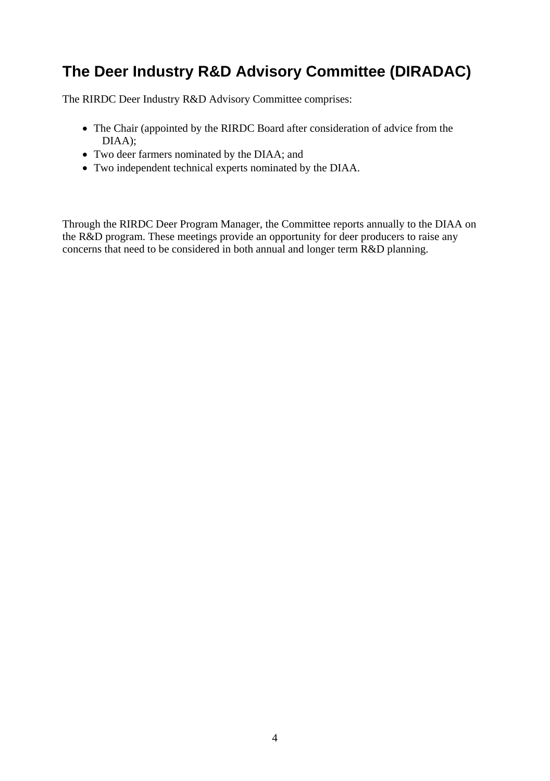### **The Deer Industry R&D Advisory Committee (DIRADAC)**

The RIRDC Deer Industry R&D Advisory Committee comprises:

- The Chair (appointed by the RIRDC Board after consideration of advice from the DIAA);
- Two deer farmers nominated by the DIAA; and
- Two independent technical experts nominated by the DIAA.

Through the RIRDC Deer Program Manager, the Committee reports annually to the DIAA on the R&D program. These meetings provide an opportunity for deer producers to raise any concerns that need to be considered in both annual and longer term R&D planning.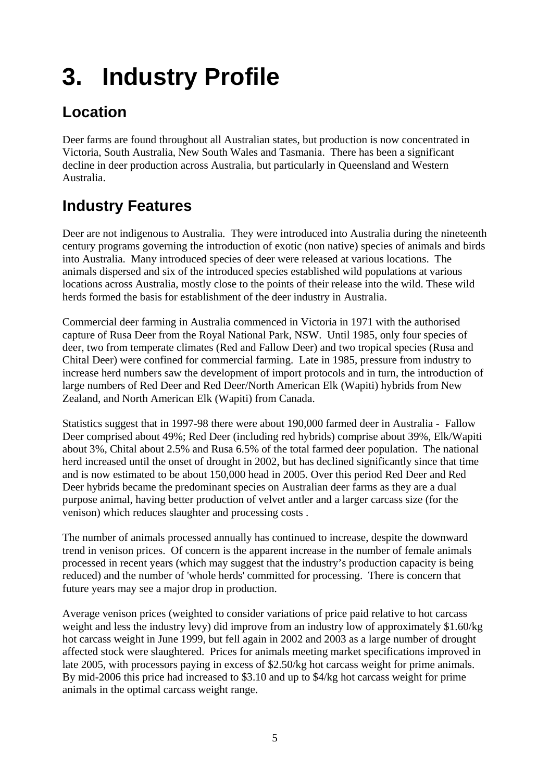## <span id="page-11-0"></span>**3. Industry Profile**

## **Location**

Deer farms are found throughout all Australian states, but production is now concentrated in Victoria, South Australia, New South Wales and Tasmania. There has been a significant decline in deer production across Australia, but particularly in Queensland and Western Australia.

## **Industry Features**

Deer are not indigenous to Australia. They were introduced into Australia during the nineteenth century programs governing the introduction of exotic (non native) species of animals and birds into Australia. Many introduced species of deer were released at various locations. The animals dispersed and six of the introduced species established wild populations at various locations across Australia, mostly close to the points of their release into the wild. These wild herds formed the basis for establishment of the deer industry in Australia.

Commercial deer farming in Australia commenced in Victoria in 1971 with the authorised capture of Rusa Deer from the Royal National Park, NSW. Until 1985, only four species of deer, two from temperate climates (Red and Fallow Deer) and two tropical species (Rusa and Chital Deer) were confined for commercial farming. Late in 1985, pressure from industry to increase herd numbers saw the development of import protocols and in turn, the introduction of large numbers of Red Deer and Red Deer/North American Elk (Wapiti) hybrids from New Zealand, and North American Elk (Wapiti) from Canada.

Statistics suggest that in 1997-98 there were about 190,000 farmed deer in Australia - Fallow Deer comprised about 49%; Red Deer (including red hybrids) comprise about 39%, Elk/Wapiti about 3%, Chital about 2.5% and Rusa 6.5% of the total farmed deer population. The national herd increased until the onset of drought in 2002, but has declined significantly since that time and is now estimated to be about 150,000 head in 2005. Over this period Red Deer and Red Deer hybrids became the predominant species on Australian deer farms as they are a dual purpose animal, having better production of velvet antler and a larger carcass size (for the venison) which reduces slaughter and processing costs .

The number of animals processed annually has continued to increase, despite the downward trend in venison prices. Of concern is the apparent increase in the number of female animals processed in recent years (which may suggest that the industry's production capacity is being reduced) and the number of 'whole herds' committed for processing. There is concern that future years may see a major drop in production.

Average venison prices (weighted to consider variations of price paid relative to hot carcass weight and less the industry levy) did improve from an industry low of approximately \$1.60/kg hot carcass weight in June 1999, but fell again in 2002 and 2003 as a large number of drought affected stock were slaughtered. Prices for animals meeting market specifications improved in late 2005, with processors paying in excess of \$2.50/kg hot carcass weight for prime animals. By mid-2006 this price had increased to \$3.10 and up to \$4/kg hot carcass weight for prime animals in the optimal carcass weight range.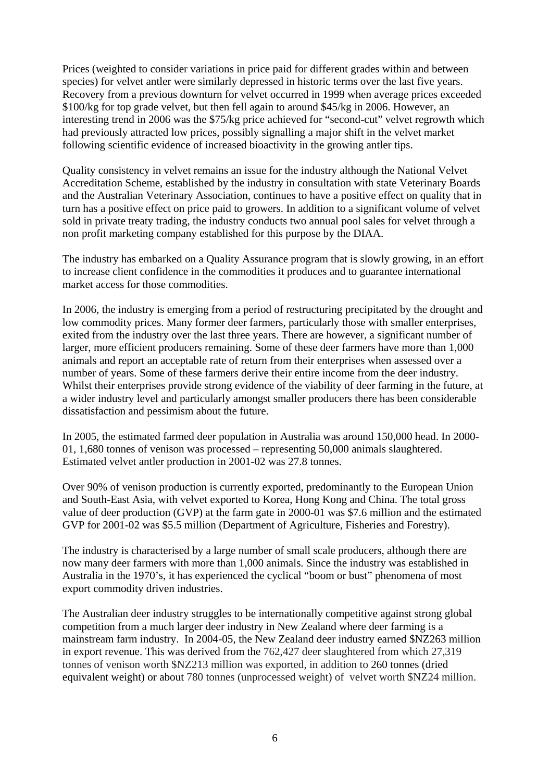Prices (weighted to consider variations in price paid for different grades within and between species) for velvet antler were similarly depressed in historic terms over the last five years. Recovery from a previous downturn for velvet occurred in 1999 when average prices exceeded \$100/kg for top grade velvet, but then fell again to around \$45/kg in 2006. However, an interesting trend in 2006 was the \$75/kg price achieved for "second-cut" velvet regrowth which had previously attracted low prices, possibly signalling a major shift in the velvet market following scientific evidence of increased bioactivity in the growing antler tips.

Quality consistency in velvet remains an issue for the industry although the National Velvet Accreditation Scheme, established by the industry in consultation with state Veterinary Boards and the Australian Veterinary Association, continues to have a positive effect on quality that in turn has a positive effect on price paid to growers. In addition to a significant volume of velvet sold in private treaty trading, the industry conducts two annual pool sales for velvet through a non profit marketing company established for this purpose by the DIAA.

The industry has embarked on a Quality Assurance program that is slowly growing, in an effort to increase client confidence in the commodities it produces and to guarantee international market access for those commodities.

In 2006, the industry is emerging from a period of restructuring precipitated by the drought and low commodity prices. Many former deer farmers, particularly those with smaller enterprises, exited from the industry over the last three years. There are however, a significant number of larger, more efficient producers remaining. Some of these deer farmers have more than 1,000 animals and report an acceptable rate of return from their enterprises when assessed over a number of years. Some of these farmers derive their entire income from the deer industry. Whilst their enterprises provide strong evidence of the viability of deer farming in the future, at a wider industry level and particularly amongst smaller producers there has been considerable dissatisfaction and pessimism about the future.

In 2005, the estimated farmed deer population in Australia was around 150,000 head. In 2000- 01, 1,680 tonnes of venison was processed – representing 50,000 animals slaughtered. Estimated velvet antler production in 2001-02 was 27.8 tonnes.

Over 90% of venison production is currently exported, predominantly to the European Union and South-East Asia, with velvet exported to Korea, Hong Kong and China. The total gross value of deer production (GVP) at the farm gate in 2000-01 was \$7.6 million and the estimated GVP for 2001-02 was \$5.5 million (Department of Agriculture, Fisheries and Forestry).

The industry is characterised by a large number of small scale producers, although there are now many deer farmers with more than 1,000 animals. Since the industry was established in Australia in the 1970's, it has experienced the cyclical "boom or bust" phenomena of most export commodity driven industries.

The Australian deer industry struggles to be internationally competitive against strong global competition from a much larger deer industry in New Zealand where deer farming is a mainstream farm industry. In 2004-05, the New Zealand deer industry earned \$NZ263 million in export revenue. This was derived from the 762,427 deer slaughtered from which 27,319 tonnes of venison worth \$NZ213 million was exported, in addition to 260 tonnes (dried equivalent weight) or about 780 tonnes (unprocessed weight) of velvet worth \$NZ24 million.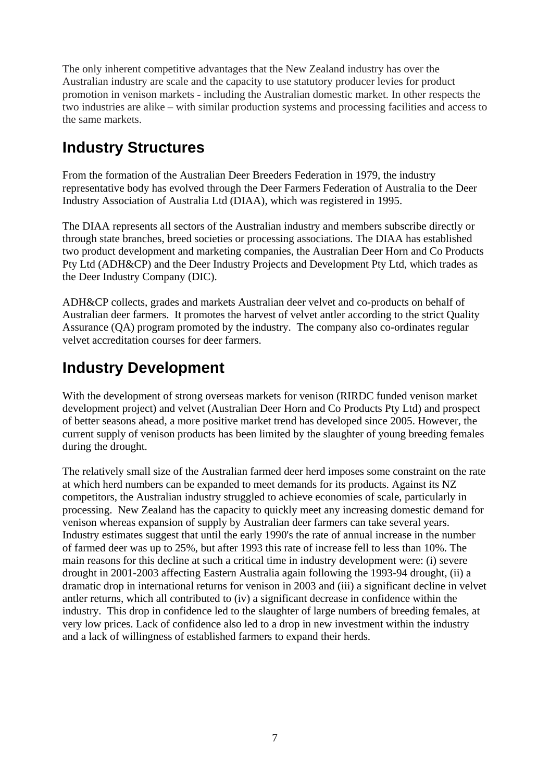The only inherent competitive advantages that the New Zealand industry has over the Australian industry are scale and the capacity to use statutory producer levies for product promotion in venison markets - including the Australian domestic market. In other respects the two industries are alike – with similar production systems and processing facilities and access to the same markets.

### **Industry Structures**

From the formation of the Australian Deer Breeders Federation in 1979, the industry representative body has evolved through the Deer Farmers Federation of Australia to the Deer Industry Association of Australia Ltd (DIAA), which was registered in 1995.

The DIAA represents all sectors of the Australian industry and members subscribe directly or through state branches, breed societies or processing associations. The DIAA has established two product development and marketing companies, the Australian Deer Horn and Co Products Pty Ltd (ADH&CP) and the Deer Industry Projects and Development Pty Ltd, which trades as the Deer Industry Company (DIC).

ADH&CP collects, grades and markets Australian deer velvet and co-products on behalf of Australian deer farmers. It promotes the harvest of velvet antler according to the strict Quality Assurance (QA) program promoted by the industry. The company also co-ordinates regular velvet accreditation courses for deer farmers.

## **Industry Development**

With the development of strong overseas markets for venison (RIRDC funded venison market development project) and velvet (Australian Deer Horn and Co Products Pty Ltd) and prospect of better seasons ahead, a more positive market trend has developed since 2005. However, the current supply of venison products has been limited by the slaughter of young breeding females during the drought.

The relatively small size of the Australian farmed deer herd imposes some constraint on the rate at which herd numbers can be expanded to meet demands for its products. Against its NZ competitors, the Australian industry struggled to achieve economies of scale, particularly in processing. New Zealand has the capacity to quickly meet any increasing domestic demand for venison whereas expansion of supply by Australian deer farmers can take several years. Industry estimates suggest that until the early 1990's the rate of annual increase in the number of farmed deer was up to 25%, but after 1993 this rate of increase fell to less than 10%. The main reasons for this decline at such a critical time in industry development were: (i) severe drought in 2001-2003 affecting Eastern Australia again following the 1993-94 drought, (ii) a dramatic drop in international returns for venison in 2003 and (iii) a significant decline in velvet antler returns, which all contributed to (iv) a significant decrease in confidence within the industry. This drop in confidence led to the slaughter of large numbers of breeding females, at very low prices. Lack of confidence also led to a drop in new investment within the industry and a lack of willingness of established farmers to expand their herds.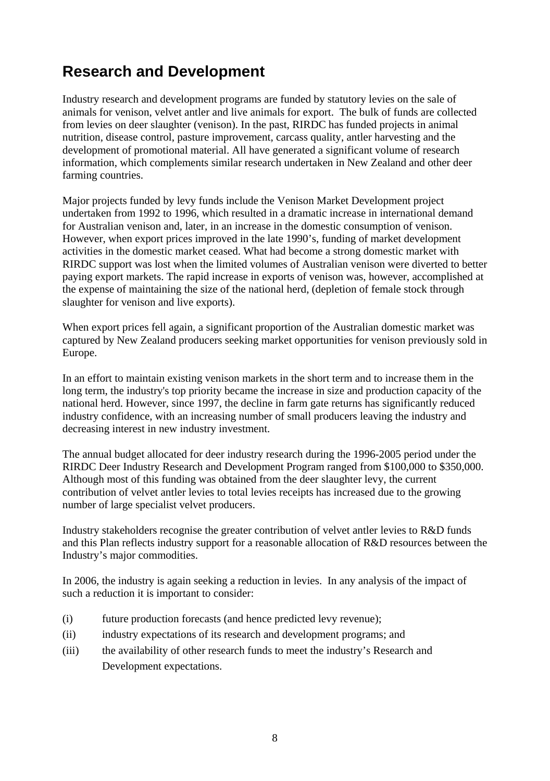### **Research and Development**

Industry research and development programs are funded by statutory levies on the sale of animals for venison, velvet antler and live animals for export. The bulk of funds are collected from levies on deer slaughter (venison). In the past, RIRDC has funded projects in animal nutrition, disease control, pasture improvement, carcass quality, antler harvesting and the development of promotional material. All have generated a significant volume of research information, which complements similar research undertaken in New Zealand and other deer farming countries.

Major projects funded by levy funds include the Venison Market Development project undertaken from 1992 to 1996, which resulted in a dramatic increase in international demand for Australian venison and, later, in an increase in the domestic consumption of venison. However, when export prices improved in the late 1990's, funding of market development activities in the domestic market ceased. What had become a strong domestic market with RIRDC support was lost when the limited volumes of Australian venison were diverted to better paying export markets. The rapid increase in exports of venison was, however, accomplished at the expense of maintaining the size of the national herd, (depletion of female stock through slaughter for venison and live exports).

When export prices fell again, a significant proportion of the Australian domestic market was captured by New Zealand producers seeking market opportunities for venison previously sold in Europe.

In an effort to maintain existing venison markets in the short term and to increase them in the long term, the industry's top priority became the increase in size and production capacity of the national herd. However, since 1997, the decline in farm gate returns has significantly reduced industry confidence, with an increasing number of small producers leaving the industry and decreasing interest in new industry investment.

The annual budget allocated for deer industry research during the 1996-2005 period under the RIRDC Deer Industry Research and Development Program ranged from \$100,000 to \$350,000. Although most of this funding was obtained from the deer slaughter levy, the current contribution of velvet antler levies to total levies receipts has increased due to the growing number of large specialist velvet producers.

Industry stakeholders recognise the greater contribution of velvet antler levies to R&D funds and this Plan reflects industry support for a reasonable allocation of R&D resources between the Industry's major commodities.

In 2006, the industry is again seeking a reduction in levies. In any analysis of the impact of such a reduction it is important to consider:

- (i) future production forecasts (and hence predicted levy revenue);
- (ii) industry expectations of its research and development programs; and
- (iii) the availability of other research funds to meet the industry's Research and Development expectations.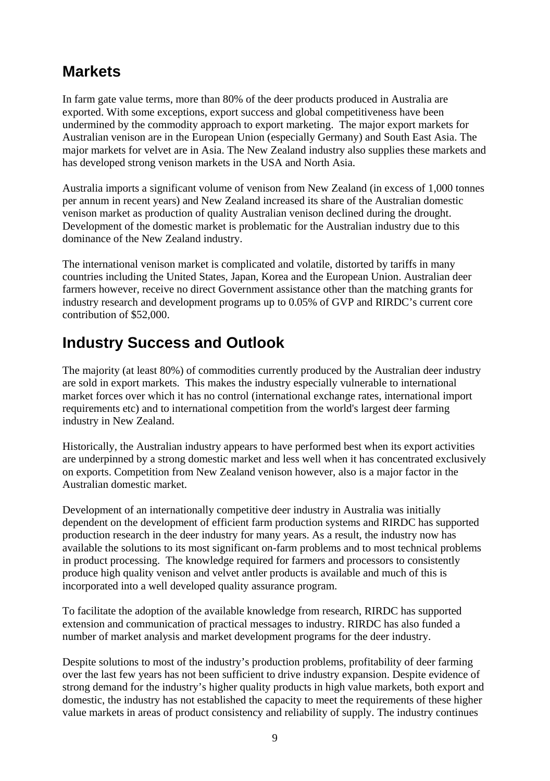### **Markets**

In farm gate value terms, more than 80% of the deer products produced in Australia are exported. With some exceptions, export success and global competitiveness have been undermined by the commodity approach to export marketing. The major export markets for Australian venison are in the European Union (especially Germany) and South East Asia. The major markets for velvet are in Asia. The New Zealand industry also supplies these markets and has developed strong venison markets in the USA and North Asia.

Australia imports a significant volume of venison from New Zealand (in excess of 1,000 tonnes per annum in recent years) and New Zealand increased its share of the Australian domestic venison market as production of quality Australian venison declined during the drought. Development of the domestic market is problematic for the Australian industry due to this dominance of the New Zealand industry.

The international venison market is complicated and volatile, distorted by tariffs in many countries including the United States, Japan, Korea and the European Union. Australian deer farmers however, receive no direct Government assistance other than the matching grants for industry research and development programs up to 0.05% of GVP and RIRDC's current core contribution of \$52,000.

### **Industry Success and Outlook**

The majority (at least 80%) of commodities currently produced by the Australian deer industry are sold in export markets. This makes the industry especially vulnerable to international market forces over which it has no control (international exchange rates, international import requirements etc) and to international competition from the world's largest deer farming industry in New Zealand.

Historically, the Australian industry appears to have performed best when its export activities are underpinned by a strong domestic market and less well when it has concentrated exclusively on exports. Competition from New Zealand venison however, also is a major factor in the Australian domestic market.

Development of an internationally competitive deer industry in Australia was initially dependent on the development of efficient farm production systems and RIRDC has supported production research in the deer industry for many years. As a result, the industry now has available the solutions to its most significant on-farm problems and to most technical problems in product processing. The knowledge required for farmers and processors to consistently produce high quality venison and velvet antler products is available and much of this is incorporated into a well developed quality assurance program.

To facilitate the adoption of the available knowledge from research, RIRDC has supported extension and communication of practical messages to industry. RIRDC has also funded a number of market analysis and market development programs for the deer industry.

Despite solutions to most of the industry's production problems, profitability of deer farming over the last few years has not been sufficient to drive industry expansion. Despite evidence of strong demand for the industry's higher quality products in high value markets, both export and domestic, the industry has not established the capacity to meet the requirements of these higher value markets in areas of product consistency and reliability of supply. The industry continues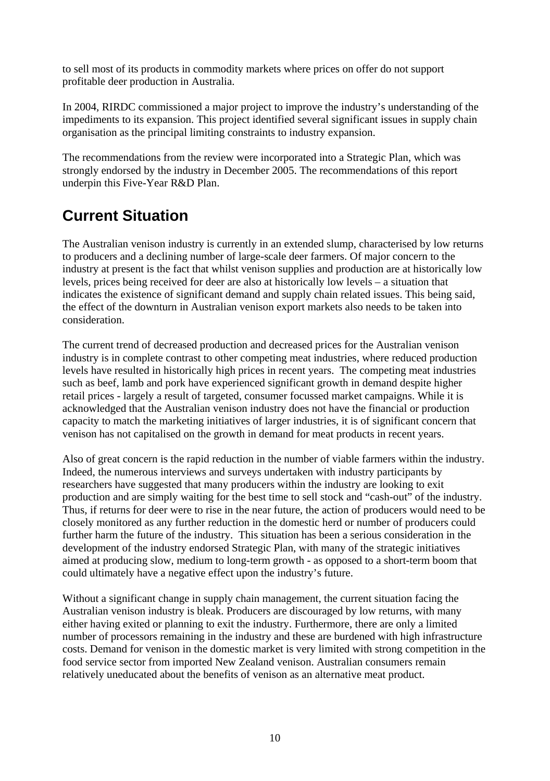to sell most of its products in commodity markets where prices on offer do not support profitable deer production in Australia.

In 2004, RIRDC commissioned a major project to improve the industry's understanding of the impediments to its expansion. This project identified several significant issues in supply chain organisation as the principal limiting constraints to industry expansion.

The recommendations from the review were incorporated into a Strategic Plan, which was strongly endorsed by the industry in December 2005. The recommendations of this report underpin this Five-Year R&D Plan.

## **Current Situation**

The Australian venison industry is currently in an extended slump, characterised by low returns to producers and a declining number of large-scale deer farmers. Of major concern to the industry at present is the fact that whilst venison supplies and production are at historically low levels, prices being received for deer are also at historically low levels – a situation that indicates the existence of significant demand and supply chain related issues. This being said, the effect of the downturn in Australian venison export markets also needs to be taken into consideration.

The current trend of decreased production and decreased prices for the Australian venison industry is in complete contrast to other competing meat industries, where reduced production levels have resulted in historically high prices in recent years. The competing meat industries such as beef, lamb and pork have experienced significant growth in demand despite higher retail prices - largely a result of targeted, consumer focussed market campaigns. While it is acknowledged that the Australian venison industry does not have the financial or production capacity to match the marketing initiatives of larger industries, it is of significant concern that venison has not capitalised on the growth in demand for meat products in recent years.

Also of great concern is the rapid reduction in the number of viable farmers within the industry. Indeed, the numerous interviews and surveys undertaken with industry participants by researchers have suggested that many producers within the industry are looking to exit production and are simply waiting for the best time to sell stock and "cash-out" of the industry. Thus, if returns for deer were to rise in the near future, the action of producers would need to be closely monitored as any further reduction in the domestic herd or number of producers could further harm the future of the industry. This situation has been a serious consideration in the development of the industry endorsed Strategic Plan, with many of the strategic initiatives aimed at producing slow, medium to long-term growth - as opposed to a short-term boom that could ultimately have a negative effect upon the industry's future.

Without a significant change in supply chain management, the current situation facing the Australian venison industry is bleak. Producers are discouraged by low returns, with many either having exited or planning to exit the industry. Furthermore, there are only a limited number of processors remaining in the industry and these are burdened with high infrastructure costs. Demand for venison in the domestic market is very limited with strong competition in the food service sector from imported New Zealand venison. Australian consumers remain relatively uneducated about the benefits of venison as an alternative meat product.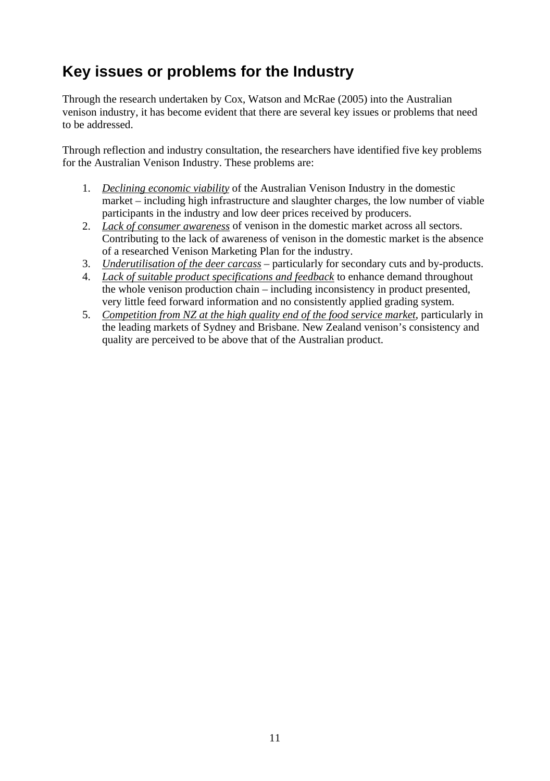## **Key issues or problems for the Industry**

Through the research undertaken by Cox, Watson and McRae (2005) into the Australian venison industry, it has become evident that there are several key issues or problems that need to be addressed.

Through reflection and industry consultation, the researchers have identified five key problems for the Australian Venison Industry. These problems are:

- 1. *Declining economic viability* of the Australian Venison Industry in the domestic market – including high infrastructure and slaughter charges, the low number of viable participants in the industry and low deer prices received by producers.
- 2. *Lack of consumer awareness* of venison in the domestic market across all sectors. Contributing to the lack of awareness of venison in the domestic market is the absence of a researched Venison Marketing Plan for the industry.
- 3. *Underutilisation of the deer carcass* particularly for secondary cuts and by-products.
- 4. *Lack of suitable product specifications and feedback* to enhance demand throughout the whole venison production chain – including inconsistency in product presented, very little feed forward information and no consistently applied grading system.
- 5. *Competition from NZ at the high quality end of the food service market*, particularly in the leading markets of Sydney and Brisbane. New Zealand venison's consistency and quality are perceived to be above that of the Australian product.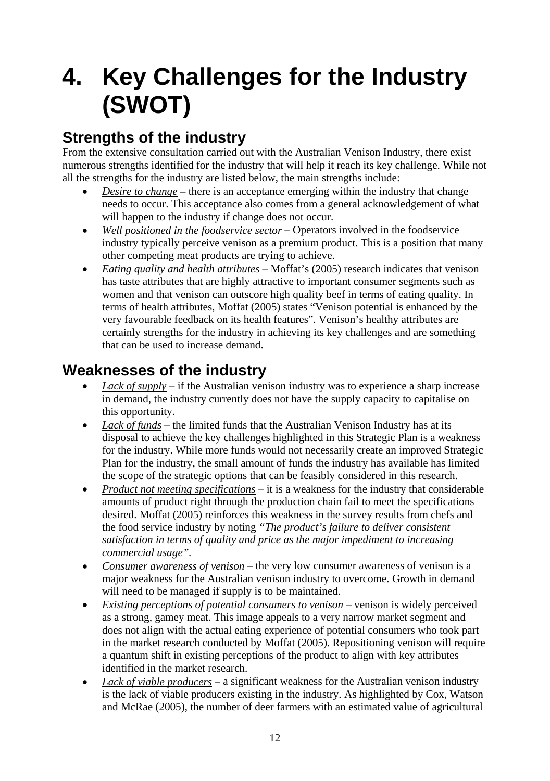## <span id="page-18-0"></span>**4. Key Challenges for the Industry (SWOT)**

## **Strengths of the industry**

From the extensive consultation carried out with the Australian Venison Industry, there exist numerous strengths identified for the industry that will help it reach its key challenge. While not all the strengths for the industry are listed below, the main strengths include:

- *Desire to change* there is an acceptance emerging within the industry that change needs to occur. This acceptance also comes from a general acknowledgement of what will happen to the industry if change does not occur.
- *Well positioned in the foodservice sector* Operators involved in the foodservice industry typically perceive venison as a premium product. This is a position that many other competing meat products are trying to achieve.
- *Eating quality and health attributes* Moffat's (2005) research indicates that venison has taste attributes that are highly attractive to important consumer segments such as women and that venison can outscore high quality beef in terms of eating quality. In terms of health attributes, Moffat (2005) states "Venison potential is enhanced by the very favourable feedback on its health features". Venison's healthy attributes are certainly strengths for the industry in achieving its key challenges and are something that can be used to increase demand.

## **Weaknesses of the industry**

- *Lack of supply* if the Australian venison industry was to experience a sharp increase in demand, the industry currently does not have the supply capacity to capitalise on this opportunity.
- *Lack of funds* the limited funds that the Australian Venison Industry has at its disposal to achieve the key challenges highlighted in this Strategic Plan is a weakness for the industry. While more funds would not necessarily create an improved Strategic Plan for the industry, the small amount of funds the industry has available has limited the scope of the strategic options that can be feasibly considered in this research.
- *Product not meeting specifications* it is a weakness for the industry that considerable amounts of product right through the production chain fail to meet the specifications desired. Moffat (2005) reinforces this weakness in the survey results from chefs and the food service industry by noting *"The product's failure to deliver consistent satisfaction in terms of quality and price as the major impediment to increasing commercial usage".*
- *Consumer awareness of venison* the very low consumer awareness of venison is a major weakness for the Australian venison industry to overcome. Growth in demand will need to be managed if supply is to be maintained.
- *Existing perceptions of potential consumers to venison* venison is widely perceived as a strong, gamey meat. This image appeals to a very narrow market segment and does not align with the actual eating experience of potential consumers who took part in the market research conducted by Moffat (2005). Repositioning venison will require a quantum shift in existing perceptions of the product to align with key attributes identified in the market research.
- *Lack of viable producers* a significant weakness for the Australian venison industry is the lack of viable producers existing in the industry. As highlighted by Cox, Watson and McRae (2005), the number of deer farmers with an estimated value of agricultural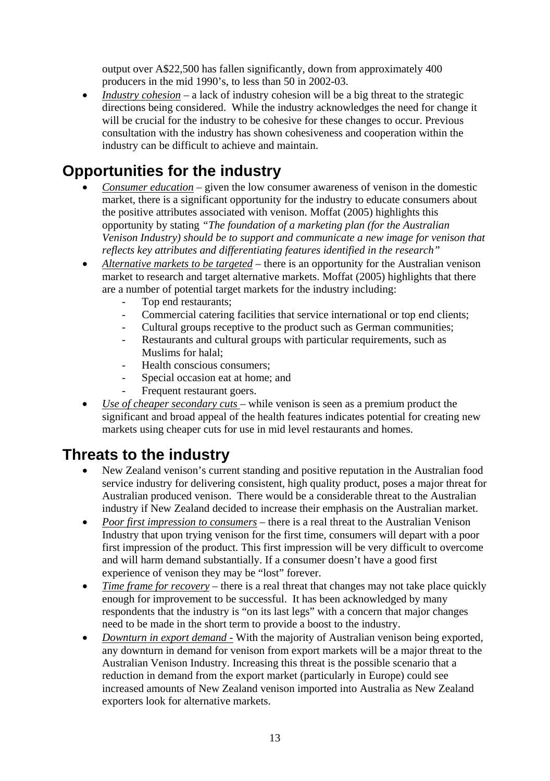output over A\$22,500 has fallen significantly, down from approximately 400 producers in the mid 1990's, to less than 50 in 2002-03.

• *Industry cohesion* – a lack of industry cohesion will be a big threat to the strategic directions being considered. While the industry acknowledges the need for change it will be crucial for the industry to be cohesive for these changes to occur. Previous consultation with the industry has shown cohesiveness and cooperation within the industry can be difficult to achieve and maintain.

### **Opportunities for the industry**

- *Consumer education* given the low consumer awareness of venison in the domestic market, there is a significant opportunity for the industry to educate consumers about the positive attributes associated with venison. Moffat (2005) highlights this opportunity by stating *"The foundation of a marketing plan (for the Australian Venison Industry) should be to support and communicate a new image for venison that reflects key attributes and differentiating features identified in the research"*
- *Alternative markets to be targeted* there is an opportunity for the Australian venison market to research and target alternative markets. Moffat (2005) highlights that there are a number of potential target markets for the industry including:
	- Top end restaurants:
	- Commercial catering facilities that service international or top end clients;
	- Cultural groups receptive to the product such as German communities;
	- Restaurants and cultural groups with particular requirements, such as Muslims for halal;
	- Health conscious consumers:
	- Special occasion eat at home; and
	- Frequent restaurant goers.
- *Use of cheaper secondary cuts*  while venison is seen as a premium product the significant and broad appeal of the health features indicates potential for creating new markets using cheaper cuts for use in mid level restaurants and homes.

### **Threats to the industry**

- New Zealand venison's current standing and positive reputation in the Australian food service industry for delivering consistent, high quality product, poses a major threat for Australian produced venison. There would be a considerable threat to the Australian industry if New Zealand decided to increase their emphasis on the Australian market.
- *Poor first impression to consumers* there is a real threat to the Australian Venison Industry that upon trying venison for the first time, consumers will depart with a poor first impression of the product. This first impression will be very difficult to overcome and will harm demand substantially. If a consumer doesn't have a good first experience of venison they may be "lost" forever.
- *Time frame for recovery* there is a real threat that changes may not take place quickly enough for improvement to be successful. It has been acknowledged by many respondents that the industry is "on its last legs" with a concern that major changes need to be made in the short term to provide a boost to the industry.
- *Downturn in export demand -* With the majority of Australian venison being exported, any downturn in demand for venison from export markets will be a major threat to the Australian Venison Industry. Increasing this threat is the possible scenario that a reduction in demand from the export market (particularly in Europe) could see increased amounts of New Zealand venison imported into Australia as New Zealand exporters look for alternative markets.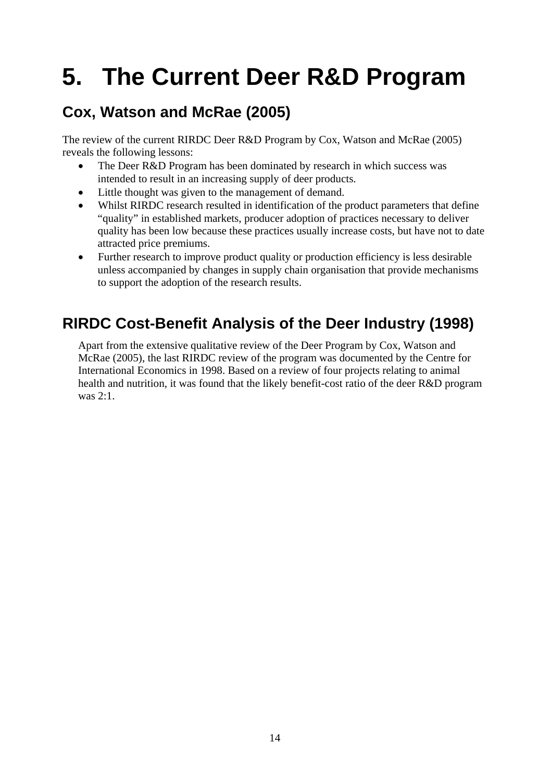## <span id="page-20-0"></span>**5. The Current Deer R&D Program**

## **Cox, Watson and McRae (2005)**

The review of the current RIRDC Deer R&D Program by Cox, Watson and McRae (2005) reveals the following lessons:

- The Deer R&D Program has been dominated by research in which success was intended to result in an increasing supply of deer products.
- Little thought was given to the management of demand.
- Whilst RIRDC research resulted in identification of the product parameters that define "quality" in established markets, producer adoption of practices necessary to deliver quality has been low because these practices usually increase costs, but have not to date attracted price premiums.
- Further research to improve product quality or production efficiency is less desirable unless accompanied by changes in supply chain organisation that provide mechanisms to support the adoption of the research results.

## **RIRDC Cost-Benefit Analysis of the Deer Industry (1998)**

Apart from the extensive qualitative review of the Deer Program by Cox, Watson and McRae (2005), the last RIRDC review of the program was documented by the Centre for International Economics in 1998. Based on a review of four projects relating to animal health and nutrition, it was found that the likely benefit-cost ratio of the deer R&D program was 2:1.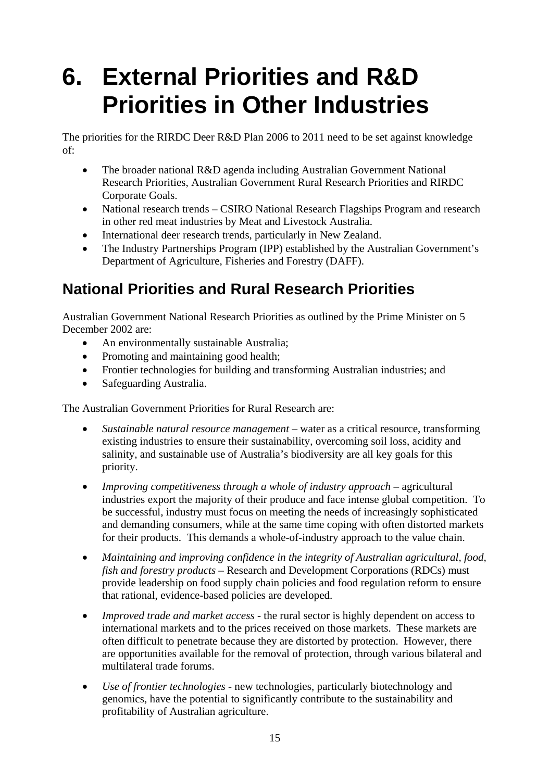## <span id="page-21-0"></span>**6. External Priorities and R&D Priorities in Other Industries**

The priorities for the RIRDC Deer R&D Plan 2006 to 2011 need to be set against knowledge of:

- The broader national R&D agenda including Australian Government National Research Priorities, Australian Government Rural Research Priorities and RIRDC Corporate Goals.
- National research trends CSIRO National Research Flagships Program and research in other red meat industries by Meat and Livestock Australia.
- International deer research trends, particularly in New Zealand.
- The Industry Partnerships Program (IPP) established by the Australian Government's Department of Agriculture, Fisheries and Forestry (DAFF).

## **National Priorities and Rural Research Priorities**

Australian Government National Research Priorities as outlined by the Prime Minister on 5 December 2002 are:

- An environmentally sustainable Australia;
- Promoting and maintaining good health;
- Frontier technologies for building and transforming Australian industries; and
- Safeguarding Australia.

The Australian Government Priorities for Rural Research are:

- *Sustainable natural resource management* water as a critical resource, transforming existing industries to ensure their sustainability, overcoming soil loss, acidity and salinity, and sustainable use of Australia's biodiversity are all key goals for this priority.
- *Improving competitiveness through a whole of industry approach agricultural* industries export the majority of their produce and face intense global competition. To be successful, industry must focus on meeting the needs of increasingly sophisticated and demanding consumers, while at the same time coping with often distorted markets for their products. This demands a whole-of-industry approach to the value chain.
- *Maintaining and improving confidence in the integrity of Australian agricultural, food, fish and forestry products* – Research and Development Corporations (RDCs) must provide leadership on food supply chain policies and food regulation reform to ensure that rational, evidence-based policies are developed.
- *Improved trade and market access* the rural sector is highly dependent on access to international markets and to the prices received on those markets. These markets are often difficult to penetrate because they are distorted by protection. However, there are opportunities available for the removal of protection, through various bilateral and multilateral trade forums.
- *Use of frontier technologies* new technologies, particularly biotechnology and genomics, have the potential to significantly contribute to the sustainability and profitability of Australian agriculture.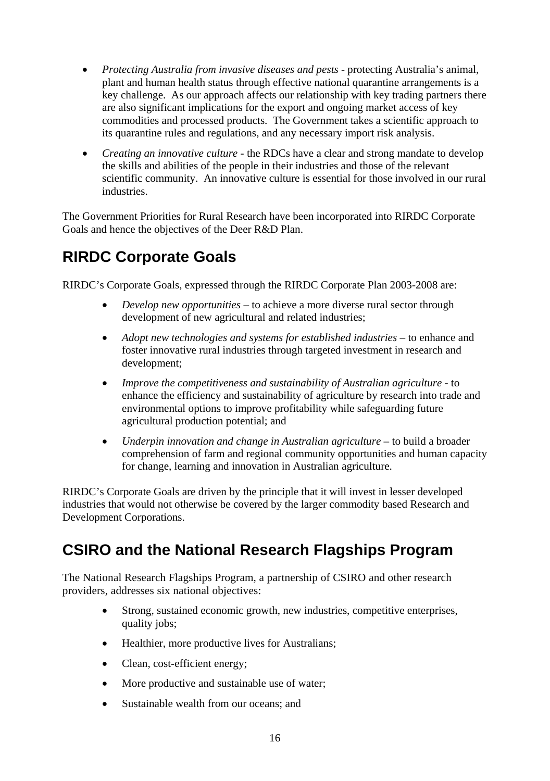- *Protecting Australia from invasive diseases and pests protecting Australia's animal,* plant and human health status through effective national quarantine arrangements is a key challenge. As our approach affects our relationship with key trading partners there are also significant implications for the export and ongoing market access of key commodities and processed products. The Government takes a scientific approach to its quarantine rules and regulations, and any necessary import risk analysis.
- *Creating an innovative culture*  the RDCs have a clear and strong mandate to develop the skills and abilities of the people in their industries and those of the relevant scientific community. An innovative culture is essential for those involved in our rural industries.

The Government Priorities for Rural Research have been incorporated into RIRDC Corporate Goals and hence the objectives of the Deer R&D Plan.

## **RIRDC Corporate Goals**

RIRDC's Corporate Goals, expressed through the RIRDC Corporate Plan 2003-2008 are:

- *Develop new opportunities* to achieve a more diverse rural sector through development of new agricultural and related industries;
- *Adopt new technologies and systems for established industries* to enhance and foster innovative rural industries through targeted investment in research and development;
- *Improve the competitiveness and sustainability of Australian agriculture* to enhance the efficiency and sustainability of agriculture by research into trade and environmental options to improve profitability while safeguarding future agricultural production potential; and
- *Underpin innovation and change in Australian agriculture* to build a broader comprehension of farm and regional community opportunities and human capacity for change, learning and innovation in Australian agriculture.

RIRDC's Corporate Goals are driven by the principle that it will invest in lesser developed industries that would not otherwise be covered by the larger commodity based Research and Development Corporations.

## **CSIRO and the National Research Flagships Program**

The National Research Flagships Program, a partnership of CSIRO and other research providers, addresses six national objectives:

- Strong, sustained economic growth, new industries, competitive enterprises, quality jobs;
- Healthier, more productive lives for Australians;
- Clean, cost-efficient energy;
- More productive and sustainable use of water;
- Sustainable wealth from our oceans; and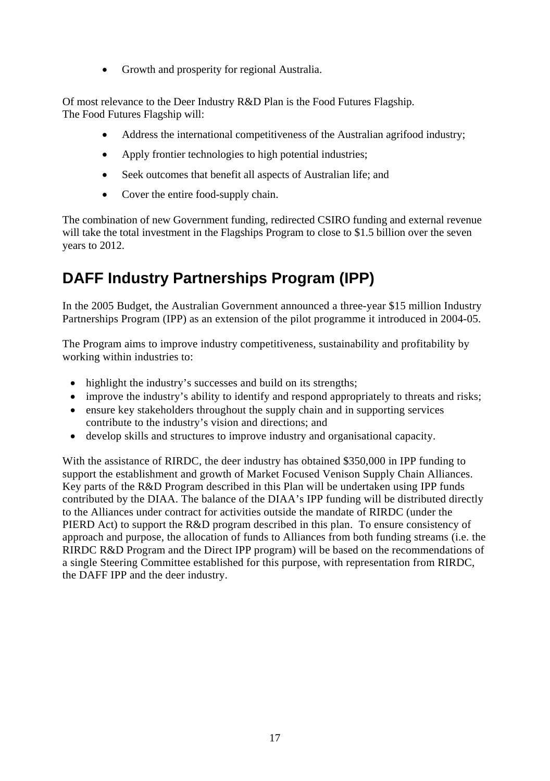• Growth and prosperity for regional Australia.

Of most relevance to the Deer Industry R&D Plan is the Food Futures Flagship. The Food Futures Flagship will:

- Address the international competitiveness of the Australian agrifood industry;
- Apply frontier technologies to high potential industries:
- Seek outcomes that benefit all aspects of Australian life; and
- Cover the entire food-supply chain.

The combination of new Government funding, redirected CSIRO funding and external revenue will take the total investment in the Flagships Program to close to \$1.5 billion over the seven years to 2012.

## **DAFF Industry Partnerships Program (IPP)**

In the 2005 Budget, the Australian Government announced a three-year \$15 million Industry Partnerships Program (IPP) as an extension of the pilot programme it introduced in 2004-05.

The Program aims to improve industry competitiveness, sustainability and profitability by working within industries to:

- highlight the industry's successes and build on its strengths;
- improve the industry's ability to identify and respond appropriately to threats and risks;
- ensure key stakeholders throughout the supply chain and in supporting services contribute to the industry's vision and directions; and
- develop skills and structures to improve industry and organisational capacity.

With the assistance of RIRDC, the deer industry has obtained \$350,000 in IPP funding to support the establishment and growth of Market Focused Venison Supply Chain Alliances. Key parts of the R&D Program described in this Plan will be undertaken using IPP funds contributed by the DIAA. The balance of the DIAA's IPP funding will be distributed directly to the Alliances under contract for activities outside the mandate of RIRDC (under the PIERD Act) to support the R&D program described in this plan. To ensure consistency of approach and purpose, the allocation of funds to Alliances from both funding streams (i.e. the RIRDC R&D Program and the Direct IPP program) will be based on the recommendations of a single Steering Committee established for this purpose, with representation from RIRDC, the DAFF IPP and the deer industry.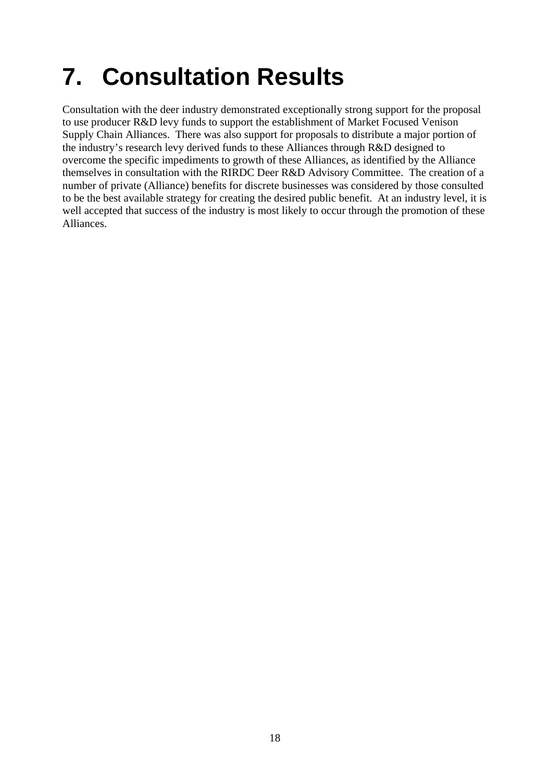## <span id="page-24-0"></span>**7. Consultation Results**

Consultation with the deer industry demonstrated exceptionally strong support for the proposal to use producer R&D levy funds to support the establishment of Market Focused Venison Supply Chain Alliances. There was also support for proposals to distribute a major portion of the industry's research levy derived funds to these Alliances through R&D designed to overcome the specific impediments to growth of these Alliances, as identified by the Alliance themselves in consultation with the RIRDC Deer R&D Advisory Committee. The creation of a number of private (Alliance) benefits for discrete businesses was considered by those consulted to be the best available strategy for creating the desired public benefit. At an industry level, it is well accepted that success of the industry is most likely to occur through the promotion of these Alliances.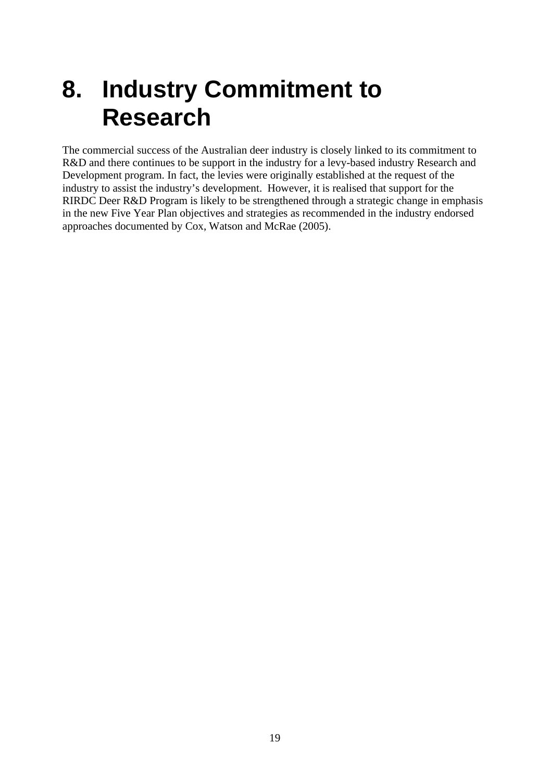## <span id="page-25-0"></span>**8. Industry Commitment to Research**

The commercial success of the Australian deer industry is closely linked to its commitment to R&D and there continues to be support in the industry for a levy-based industry Research and Development program. In fact, the levies were originally established at the request of the industry to assist the industry's development. However, it is realised that support for the RIRDC Deer R&D Program is likely to be strengthened through a strategic change in emphasis in the new Five Year Plan objectives and strategies as recommended in the industry endorsed approaches documented by Cox, Watson and McRae (2005).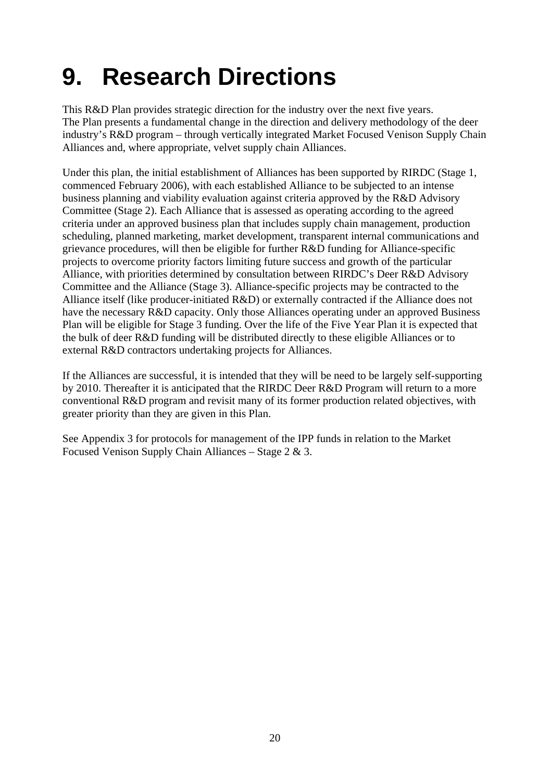## <span id="page-26-0"></span>**9. Research Directions**

This R&D Plan provides strategic direction for the industry over the next five years. The Plan presents a fundamental change in the direction and delivery methodology of the deer industry's R&D program – through vertically integrated Market Focused Venison Supply Chain Alliances and, where appropriate, velvet supply chain Alliances.

Under this plan, the initial establishment of Alliances has been supported by RIRDC (Stage 1, commenced February 2006), with each established Alliance to be subjected to an intense business planning and viability evaluation against criteria approved by the R&D Advisory Committee (Stage 2). Each Alliance that is assessed as operating according to the agreed criteria under an approved business plan that includes supply chain management, production scheduling, planned marketing, market development, transparent internal communications and grievance procedures, will then be eligible for further R&D funding for Alliance-specific projects to overcome priority factors limiting future success and growth of the particular Alliance, with priorities determined by consultation between RIRDC's Deer R&D Advisory Committee and the Alliance (Stage 3). Alliance-specific projects may be contracted to the Alliance itself (like producer-initiated R&D) or externally contracted if the Alliance does not have the necessary R&D capacity. Only those Alliances operating under an approved Business Plan will be eligible for Stage 3 funding. Over the life of the Five Year Plan it is expected that the bulk of deer R&D funding will be distributed directly to these eligible Alliances or to external R&D contractors undertaking projects for Alliances.

If the Alliances are successful, it is intended that they will be need to be largely self-supporting by 2010. Thereafter it is anticipated that the RIRDC Deer R&D Program will return to a more conventional R&D program and revisit many of its former production related objectives, with greater priority than they are given in this Plan.

See Appendix 3 for protocols for management of the IPP funds in relation to the Market Focused Venison Supply Chain Alliances – Stage 2 & 3.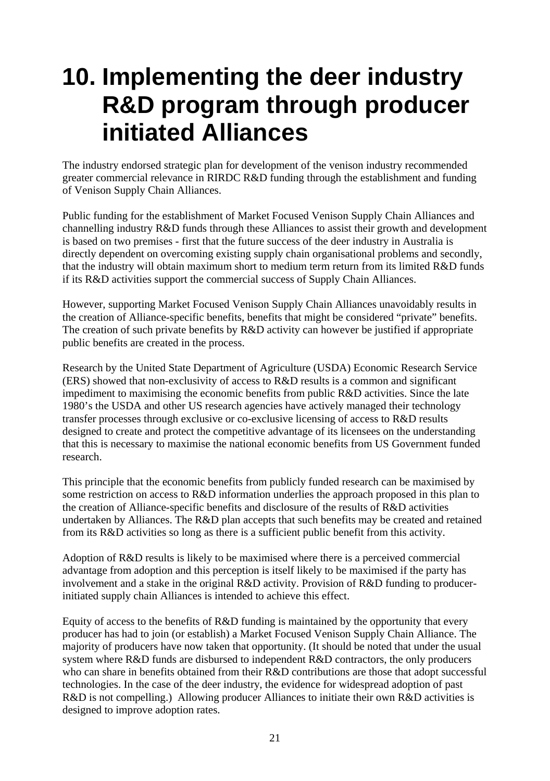## <span id="page-27-0"></span>**10. Implementing the deer industry R&D program through producer initiated Alliances**

The industry endorsed strategic plan for development of the venison industry recommended greater commercial relevance in RIRDC R&D funding through the establishment and funding of Venison Supply Chain Alliances.

Public funding for the establishment of Market Focused Venison Supply Chain Alliances and channelling industry R&D funds through these Alliances to assist their growth and development is based on two premises - first that the future success of the deer industry in Australia is directly dependent on overcoming existing supply chain organisational problems and secondly, that the industry will obtain maximum short to medium term return from its limited R&D funds if its R&D activities support the commercial success of Supply Chain Alliances.

However, supporting Market Focused Venison Supply Chain Alliances unavoidably results in the creation of Alliance-specific benefits, benefits that might be considered "private" benefits. The creation of such private benefits by R&D activity can however be justified if appropriate public benefits are created in the process.

Research by the United State Department of Agriculture (USDA) Economic Research Service (ERS) showed that non-exclusivity of access to R&D results is a common and significant impediment to maximising the economic benefits from public R&D activities. Since the late 1980's the USDA and other US research agencies have actively managed their technology transfer processes through exclusive or co-exclusive licensing of access to R&D results designed to create and protect the competitive advantage of its licensees on the understanding that this is necessary to maximise the national economic benefits from US Government funded research.

This principle that the economic benefits from publicly funded research can be maximised by some restriction on access to R&D information underlies the approach proposed in this plan to the creation of Alliance-specific benefits and disclosure of the results of R&D activities undertaken by Alliances. The R&D plan accepts that such benefits may be created and retained from its R&D activities so long as there is a sufficient public benefit from this activity.

Adoption of R&D results is likely to be maximised where there is a perceived commercial advantage from adoption and this perception is itself likely to be maximised if the party has involvement and a stake in the original R&D activity. Provision of R&D funding to producerinitiated supply chain Alliances is intended to achieve this effect.

Equity of access to the benefits of R&D funding is maintained by the opportunity that every producer has had to join (or establish) a Market Focused Venison Supply Chain Alliance. The majority of producers have now taken that opportunity. (It should be noted that under the usual system where R&D funds are disbursed to independent R&D contractors, the only producers who can share in benefits obtained from their R&D contributions are those that adopt successful technologies. In the case of the deer industry, the evidence for widespread adoption of past R&D is not compelling.) Allowing producer Alliances to initiate their own R&D activities is designed to improve adoption rates.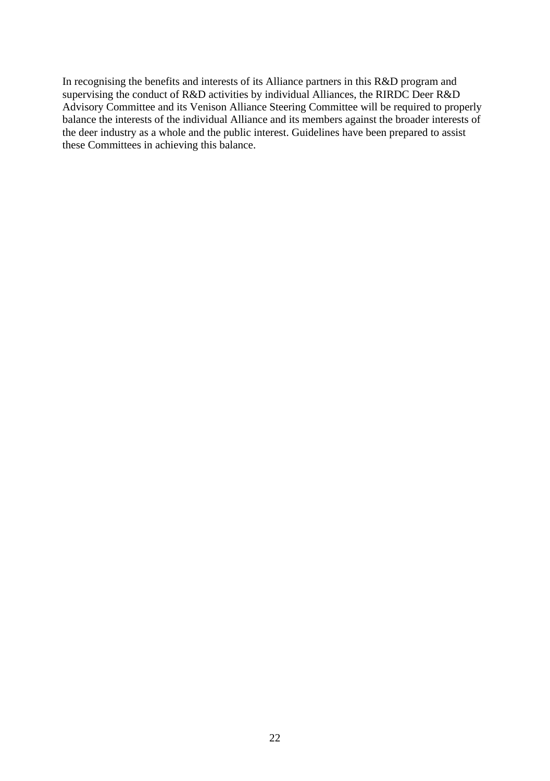In recognising the benefits and interests of its Alliance partners in this R&D program and supervising the conduct of R&D activities by individual Alliances, the RIRDC Deer R&D Advisory Committee and its Venison Alliance Steering Committee will be required to properly balance the interests of the individual Alliance and its members against the broader interests of the deer industry as a whole and the public interest. Guidelines have been prepared to assist these Committees in achieving this balance.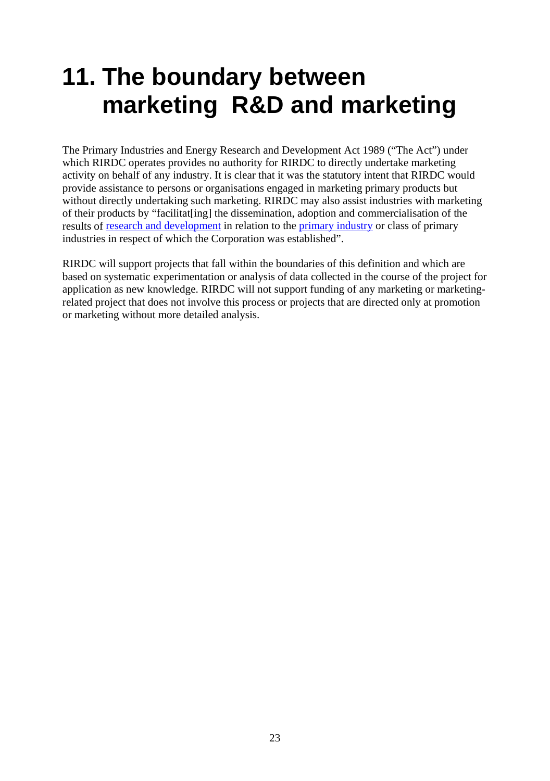## <span id="page-29-0"></span>**11. The boundary between marketing R&D and marketing**

The Primary Industries and Energy Research and Development Act 1989 ("The Act") under which RIRDC operates provides no authority for RIRDC to directly undertake marketing activity on behalf of any industry. It is clear that it was the statutory intent that RIRDC would provide assistance to persons or organisations engaged in marketing primary products but without directly undertaking such marketing. RIRDC may also assist industries with marketing of their products by "facilitat[ing] the dissemination, adoption and commercialisation of the results of [research and development](http://www.austlii.edu.au/au/legis/cth/consol_act/piaerada1989531/s4.html#research_and_development) in relation to the [primary industry](http://www.austlii.edu.au/au/legis/cth/consol_act/piaerada1989531/s4.html#primary_industry) or class of primary industries in respect of which the Corporation was established".

RIRDC will support projects that fall within the boundaries of this definition and which are based on systematic experimentation or analysis of data collected in the course of the project for application as new knowledge. RIRDC will not support funding of any marketing or marketingrelated project that does not involve this process or projects that are directed only at promotion or marketing without more detailed analysis.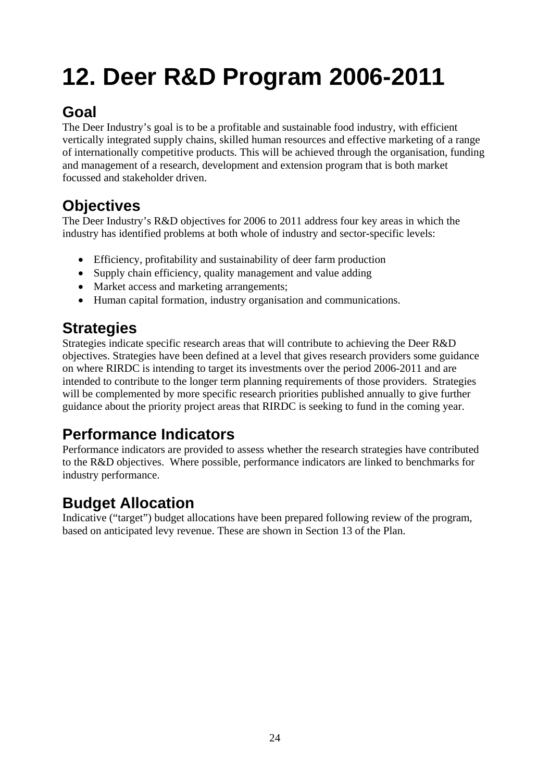## <span id="page-30-0"></span>**12. Deer R&D Program 2006-2011**

## **Goal**

The Deer Industry's goal is to be a profitable and sustainable food industry, with efficient vertically integrated supply chains, skilled human resources and effective marketing of a range of internationally competitive products. This will be achieved through the organisation, funding and management of a research, development and extension program that is both market focussed and stakeholder driven.

## **Objectives**

The Deer Industry's R&D objectives for 2006 to 2011 address four key areas in which the industry has identified problems at both whole of industry and sector-specific levels:

- Efficiency, profitability and sustainability of deer farm production
- Supply chain efficiency, quality management and value adding
- Market access and marketing arrangements;
- Human capital formation, industry organisation and communications.

### **Strategies**

Strategies indicate specific research areas that will contribute to achieving the Deer R&D objectives. Strategies have been defined at a level that gives research providers some guidance on where RIRDC is intending to target its investments over the period 2006-2011 and are intended to contribute to the longer term planning requirements of those providers. Strategies will be complemented by more specific research priorities published annually to give further guidance about the priority project areas that RIRDC is seeking to fund in the coming year.

## **Performance Indicators**

Performance indicators are provided to assess whether the research strategies have contributed to the R&D objectives. Where possible, performance indicators are linked to benchmarks for industry performance.

## **Budget Allocation**

Indicative ("target") budget allocations have been prepared following review of the program, based on anticipated levy revenue. These are shown in Section 13 of the Plan.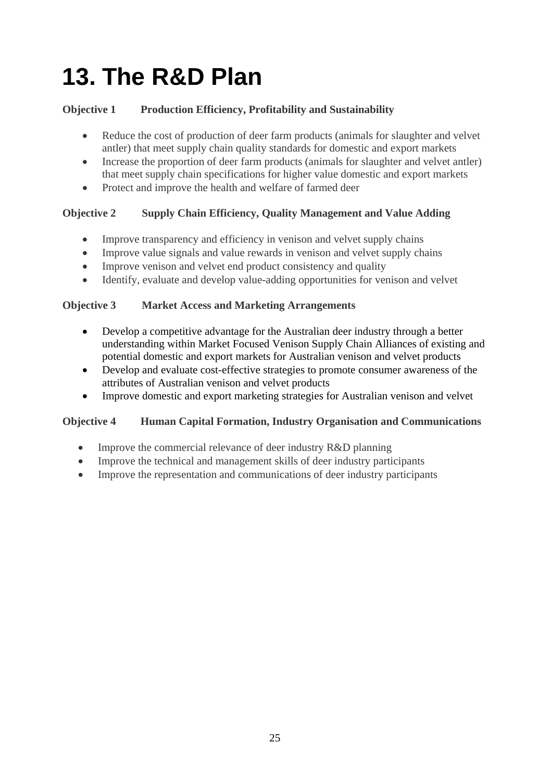## <span id="page-31-0"></span>**13. The R&D Plan**

### **Objective 1 Production Efficiency, Profitability and Sustainability**

- Reduce the cost of production of deer farm products (animals for slaughter and velvet antler) that meet supply chain quality standards for domestic and export markets
- Increase the proportion of deer farm products (animals for slaughter and velvet antler) that meet supply chain specifications for higher value domestic and export markets
- Protect and improve the health and welfare of farmed deer

### **Objective 2 Supply Chain Efficiency, Quality Management and Value Adding**

- Improve transparency and efficiency in venison and velvet supply chains
- Improve value signals and value rewards in venison and velvet supply chains
- Improve venison and velvet end product consistency and quality
- Identify, evaluate and develop value-adding opportunities for venison and velvet

### **Objective 3 Market Access and Marketing Arrangements**

- Develop a competitive advantage for the Australian deer industry through a better understanding within Market Focused Venison Supply Chain Alliances of existing and potential domestic and export markets for Australian venison and velvet products
- Develop and evaluate cost-effective strategies to promote consumer awareness of the attributes of Australian venison and velvet products
- Improve domestic and export marketing strategies for Australian venison and velvet

### **Objective 4 Human Capital Formation, Industry Organisation and Communications**

- Improve the commercial relevance of deer industry R&D planning
- Improve the technical and management skills of deer industry participants
- Improve the representation and communications of deer industry participants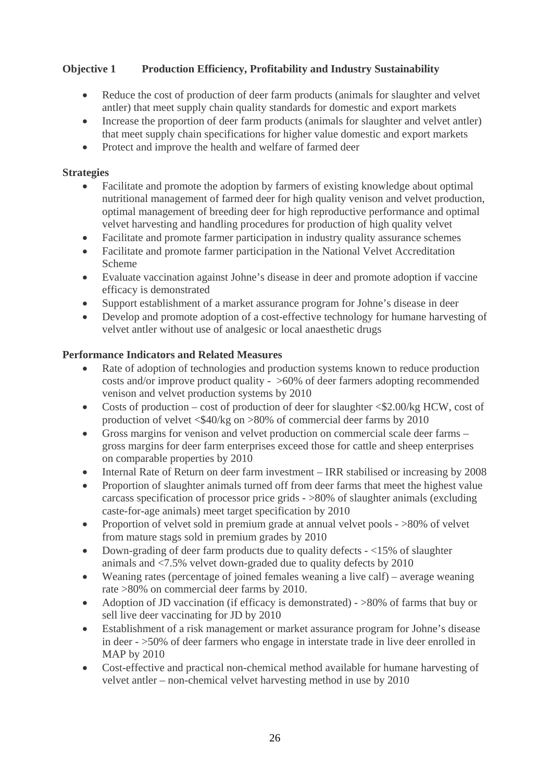### **Objective 1 Production Efficiency, Profitability and Industry Sustainability**

- Reduce the cost of production of deer farm products (animals for slaughter and velvet antler) that meet supply chain quality standards for domestic and export markets
- Increase the proportion of deer farm products (animals for slaughter and velvet antler) that meet supply chain specifications for higher value domestic and export markets
- Protect and improve the health and welfare of farmed deer

#### **Strategies**

- Facilitate and promote the adoption by farmers of existing knowledge about optimal nutritional management of farmed deer for high quality venison and velvet production, optimal management of breeding deer for high reproductive performance and optimal velvet harvesting and handling procedures for production of high quality velvet
- Facilitate and promote farmer participation in industry quality assurance schemes
- Facilitate and promote farmer participation in the National Velvet Accreditation Scheme
- Evaluate vaccination against Johne's disease in deer and promote adoption if vaccine efficacy is demonstrated
- Support establishment of a market assurance program for Johne's disease in deer
- Develop and promote adoption of a cost-effective technology for humane harvesting of velvet antler without use of analgesic or local anaesthetic drugs

- Rate of adoption of technologies and production systems known to reduce production costs and/or improve product quality - >60% of deer farmers adopting recommended venison and velvet production systems by 2010
- Costs of production cost of production of deer for slaughter  $\leq$  2.00/kg HCW, cost of production of velvet <\$40/kg on >80% of commercial deer farms by 2010
- Gross margins for venison and velvet production on commercial scale deer farms gross margins for deer farm enterprises exceed those for cattle and sheep enterprises on comparable properties by 2010
- Internal Rate of Return on deer farm investment IRR stabilised or increasing by 2008
- Proportion of slaughter animals turned off from deer farms that meet the highest value carcass specification of processor price grids - >80% of slaughter animals (excluding caste-for-age animals) meet target specification by 2010
- Proportion of velvet sold in premium grade at annual velvet pools >80% of velvet from mature stags sold in premium grades by 2010
- Down-grading of deer farm products due to quality defects  $-$  <15% of slaughter animals and <7.5% velvet down-graded due to quality defects by 2010
- Weaning rates (percentage of joined females weaning a live calf) average weaning rate >80% on commercial deer farms by 2010.
- Adoption of JD vaccination (if efficacy is demonstrated) >80% of farms that buy or sell live deer vaccinating for JD by 2010
- Establishment of a risk management or market assurance program for Johne's disease in deer - >50% of deer farmers who engage in interstate trade in live deer enrolled in MAP by 2010
- Cost-effective and practical non-chemical method available for humane harvesting of velvet antler – non-chemical velvet harvesting method in use by 2010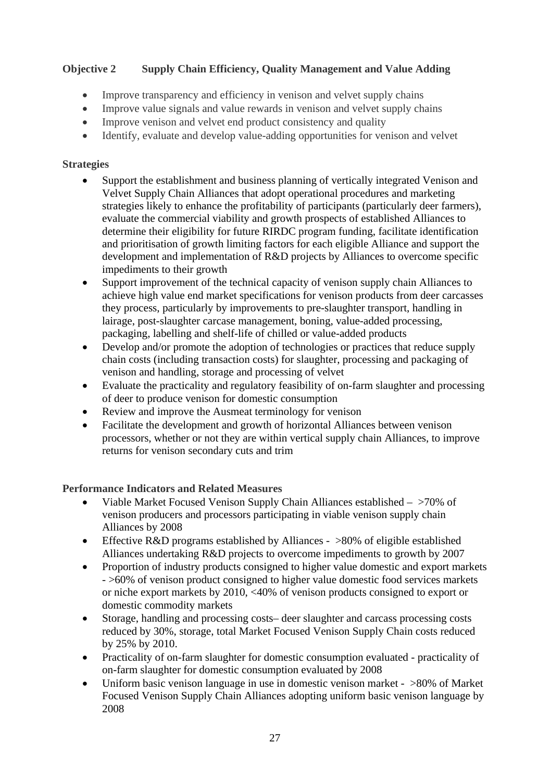### **Objective 2 Supply Chain Efficiency, Quality Management and Value Adding**

- Improve transparency and efficiency in venison and velvet supply chains
- Improve value signals and value rewards in venison and velvet supply chains
- Improve venison and velvet end product consistency and quality
- Identify, evaluate and develop value-adding opportunities for venison and velvet

#### **Strategies**

- Support the establishment and business planning of vertically integrated Venison and Velvet Supply Chain Alliances that adopt operational procedures and marketing strategies likely to enhance the profitability of participants (particularly deer farmers), evaluate the commercial viability and growth prospects of established Alliances to determine their eligibility for future RIRDC program funding, facilitate identification and prioritisation of growth limiting factors for each eligible Alliance and support the development and implementation of R&D projects by Alliances to overcome specific impediments to their growth
- Support improvement of the technical capacity of venison supply chain Alliances to achieve high value end market specifications for venison products from deer carcasses they process, particularly by improvements to pre-slaughter transport, handling in lairage, post-slaughter carcase management, boning, value-added processing, packaging, labelling and shelf-life of chilled or value-added products
- Develop and/or promote the adoption of technologies or practices that reduce supply chain costs (including transaction costs) for slaughter, processing and packaging of venison and handling, storage and processing of velvet
- Evaluate the practicality and regulatory feasibility of on-farm slaughter and processing of deer to produce venison for domestic consumption
- Review and improve the Ausmeat terminology for venison
- Facilitate the development and growth of horizontal Alliances between venison processors, whether or not they are within vertical supply chain Alliances, to improve returns for venison secondary cuts and trim

- Viable Market Focused Venison Supply Chain Alliances established >70% of venison producers and processors participating in viable venison supply chain Alliances by 2008
- Effective R&D programs established by Alliances >80% of eligible established Alliances undertaking R&D projects to overcome impediments to growth by 2007
- Proportion of industry products consigned to higher value domestic and export markets - >60% of venison product consigned to higher value domestic food services markets or niche export markets by 2010, <40% of venison products consigned to export or domestic commodity markets
- Storage, handling and processing costs– deer slaughter and carcass processing costs reduced by 30%, storage, total Market Focused Venison Supply Chain costs reduced by 25% by 2010.
- Practicality of on-farm slaughter for domestic consumption evaluated practicality of on-farm slaughter for domestic consumption evaluated by 2008
- Uniform basic venison language in use in domestic venison market >80% of Market Focused Venison Supply Chain Alliances adopting uniform basic venison language by 2008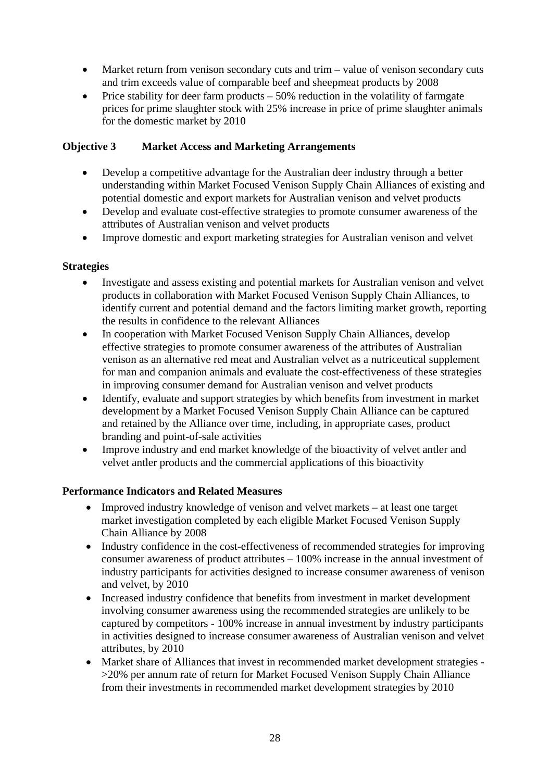- Market return from venison secondary cuts and trim value of venison secondary cuts and trim exceeds value of comparable beef and sheepmeat products by 2008
- Price stability for deer farm products  $-50\%$  reduction in the volatility of farmgate prices for prime slaughter stock with 25% increase in price of prime slaughter animals for the domestic market by 2010

#### **Objective 3 Market Access and Marketing Arrangements**

- Develop a competitive advantage for the Australian deer industry through a better understanding within Market Focused Venison Supply Chain Alliances of existing and potential domestic and export markets for Australian venison and velvet products
- Develop and evaluate cost-effective strategies to promote consumer awareness of the attributes of Australian venison and velvet products
- Improve domestic and export marketing strategies for Australian venison and velvet

#### **Strategies**

- Investigate and assess existing and potential markets for Australian venison and velvet products in collaboration with Market Focused Venison Supply Chain Alliances, to identify current and potential demand and the factors limiting market growth, reporting the results in confidence to the relevant Alliances
- In cooperation with Market Focused Venison Supply Chain Alliances, develop effective strategies to promote consumer awareness of the attributes of Australian venison as an alternative red meat and Australian velvet as a nutriceutical supplement for man and companion animals and evaluate the cost-effectiveness of these strategies in improving consumer demand for Australian venison and velvet products
- Identify, evaluate and support strategies by which benefits from investment in market development by a Market Focused Venison Supply Chain Alliance can be captured and retained by the Alliance over time, including, in appropriate cases, product branding and point-of-sale activities
- Improve industry and end market knowledge of the bioactivity of velvet antler and velvet antler products and the commercial applications of this bioactivity

- Improved industry knowledge of venison and velvet markets at least one target market investigation completed by each eligible Market Focused Venison Supply Chain Alliance by 2008
- Industry confidence in the cost-effectiveness of recommended strategies for improving consumer awareness of product attributes – 100% increase in the annual investment of industry participants for activities designed to increase consumer awareness of venison and velvet, by 2010
- Increased industry confidence that benefits from investment in market development involving consumer awareness using the recommended strategies are unlikely to be captured by competitors - 100% increase in annual investment by industry participants in activities designed to increase consumer awareness of Australian venison and velvet attributes, by 2010
- Market share of Alliances that invest in recommended market development strategies >20% per annum rate of return for Market Focused Venison Supply Chain Alliance from their investments in recommended market development strategies by 2010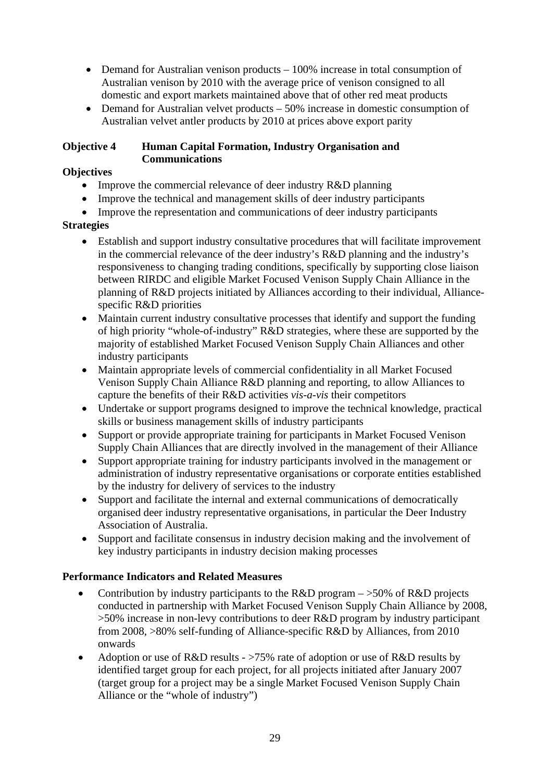- Demand for Australian venison products 100% increase in total consumption of Australian venison by 2010 with the average price of venison consigned to all domestic and export markets maintained above that of other red meat products
- Demand for Australian velvet products 50% increase in domestic consumption of Australian velvet antler products by 2010 at prices above export parity

#### **Objective 4 Human Capital Formation, Industry Organisation and Communications**

### **Objectives**

- Improve the commercial relevance of deer industry R&D planning
- Improve the technical and management skills of deer industry participants
- Improve the representation and communications of deer industry participants

#### **Strategies**

- Establish and support industry consultative procedures that will facilitate improvement in the commercial relevance of the deer industry's R&D planning and the industry's responsiveness to changing trading conditions, specifically by supporting close liaison between RIRDC and eligible Market Focused Venison Supply Chain Alliance in the planning of R&D projects initiated by Alliances according to their individual, Alliancespecific R&D priorities
- Maintain current industry consultative processes that identify and support the funding of high priority "whole-of-industry" R&D strategies, where these are supported by the majority of established Market Focused Venison Supply Chain Alliances and other industry participants
- Maintain appropriate levels of commercial confidentiality in all Market Focused Venison Supply Chain Alliance R&D planning and reporting, to allow Alliances to capture the benefits of their R&D activities *vis-a-vis* their competitors
- Undertake or support programs designed to improve the technical knowledge, practical skills or business management skills of industry participants
- Support or provide appropriate training for participants in Market Focused Venison Supply Chain Alliances that are directly involved in the management of their Alliance
- Support appropriate training for industry participants involved in the management or administration of industry representative organisations or corporate entities established by the industry for delivery of services to the industry
- Support and facilitate the internal and external communications of democratically organised deer industry representative organisations, in particular the Deer Industry Association of Australia.
- Support and facilitate consensus in industry decision making and the involvement of key industry participants in industry decision making processes

- Contribution by industry participants to the R&D program  $-$  >50% of R&D projects conducted in partnership with Market Focused Venison Supply Chain Alliance by 2008, >50% increase in non-levy contributions to deer R&D program by industry participant from 2008, >80% self-funding of Alliance-specific R&D by Alliances, from 2010 onwards
- Adoption or use of R&D results >75% rate of adoption or use of R&D results by identified target group for each project, for all projects initiated after January 2007 (target group for a project may be a single Market Focused Venison Supply Chain Alliance or the "whole of industry")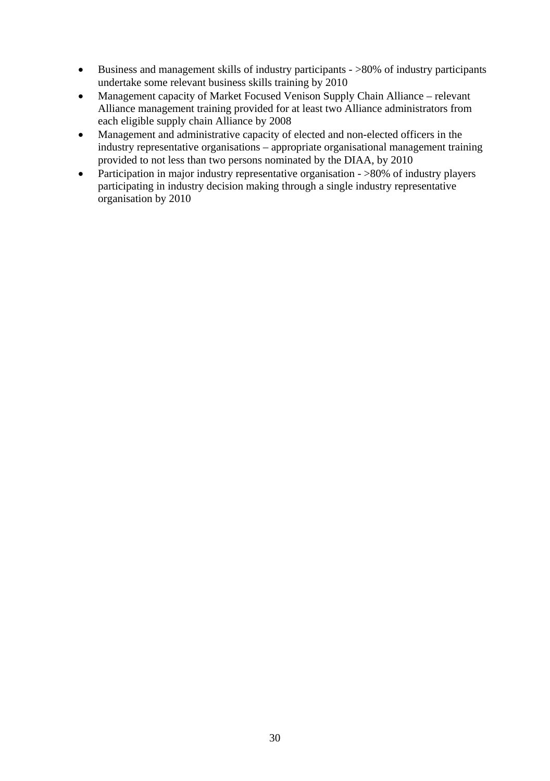- Business and management skills of industry participants >80% of industry participants undertake some relevant business skills training by 2010
- Management capacity of Market Focused Venison Supply Chain Alliance relevant Alliance management training provided for at least two Alliance administrators from each eligible supply chain Alliance by 2008
- Management and administrative capacity of elected and non-elected officers in the industry representative organisations – appropriate organisational management training provided to not less than two persons nominated by the DIAA, by 2010
- Participation in major industry representative organisation >80% of industry players participating in industry decision making through a single industry representative organisation by 2010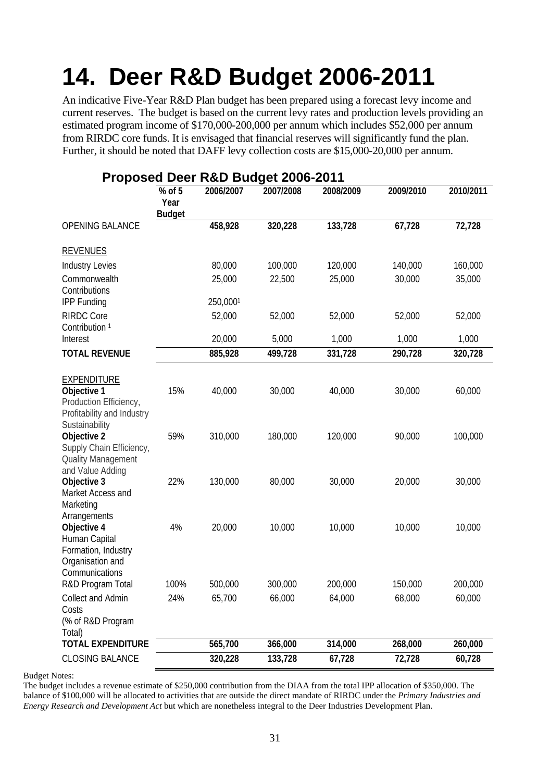## <span id="page-37-0"></span>**14. Deer R&D Budget 2006-2011**

An indicative Five-Year R&D Plan budget has been prepared using a forecast levy income and current reserves. The budget is based on the current levy rates and production levels providing an estimated program income of \$170,000-200,000 per annum which includes \$52,000 per annum from RIRDC core funds. It is envisaged that financial reserves will significantly fund the plan. Further, it should be noted that DAFF levy collection costs are \$15,000-20,000 per annum.

|                                                                                                                                                                              |                                   |                   | Proposed Deer R&D Budget 2006-2011 |                   |                  |                   |
|------------------------------------------------------------------------------------------------------------------------------------------------------------------------------|-----------------------------------|-------------------|------------------------------------|-------------------|------------------|-------------------|
|                                                                                                                                                                              | $%$ of 5<br>Year<br><b>Budget</b> | 2006/2007         | 2007/2008                          | 2008/2009         | 2009/2010        | 2010/2011         |
| <b>OPENING BALANCE</b>                                                                                                                                                       |                                   | 458,928           | 320,228                            | 133,728           | 67,728           | 72,728            |
| <b>REVENUES</b>                                                                                                                                                              |                                   |                   |                                    |                   |                  |                   |
| <b>Industry Levies</b>                                                                                                                                                       |                                   | 80,000            | 100,000                            | 120,000           | 140,000          | 160,000           |
| Commonwealth<br>Contributions                                                                                                                                                |                                   | 25,000            | 22,500                             | 25,000            | 30,000           | 35,000            |
| <b>IPP Funding</b>                                                                                                                                                           |                                   | 250,0001          |                                    |                   |                  |                   |
| <b>RIRDC Core</b><br>Contribution <sup>1</sup>                                                                                                                               |                                   | 52,000            | 52,000                             | 52,000            | 52,000           | 52,000            |
| Interest                                                                                                                                                                     |                                   | 20,000            | 5,000                              | 1,000             | 1,000            | 1,000             |
| <b>TOTAL REVENUE</b>                                                                                                                                                         |                                   | 885,928           | 499,728                            | 331,728           | 290,728          | 320,728           |
| <b>EXPENDITURE</b><br>Objective 1<br>Production Efficiency,<br>Profitability and Industry<br>Sustainability<br>Objective 2<br>Supply Chain Efficiency,<br>Quality Management | 15%<br>59%                        | 40,000<br>310,000 | 30,000<br>180,000                  | 40,000<br>120,000 | 30,000<br>90,000 | 60,000<br>100,000 |
| and Value Adding<br>Objective 3<br>Market Access and<br>Marketing<br>Arrangements                                                                                            | 22%                               | 130,000           | 80,000                             | 30,000            | 20,000           | 30,000            |
| Objective 4<br>Human Capital<br>Formation, Industry<br>Organisation and<br>Communications                                                                                    | 4%                                | 20,000            | 10,000                             | 10,000            | 10,000           | 10,000            |
| R&D Program Total                                                                                                                                                            | 100%                              | 500,000           | 300,000                            | 200,000           | 150,000          | 200,000           |
| Collect and Admin<br>Costs<br>(% of R&D Program<br>Total)                                                                                                                    | 24%                               | 65,700            | 66,000                             | 64,000            | 68,000           | 60,000            |
| <b>TOTAL EXPENDITURE</b>                                                                                                                                                     |                                   | 565,700           | 366,000                            | 314,000           | 268,000          | 260,000           |
| CLOSING BALANCE                                                                                                                                                              |                                   | 320,228           | 133,728                            | 67,728            | 72,728           | 60,728            |

Budget Notes:

The budget includes a revenue estimate of \$250,000 contribution from the DIAA from the total IPP allocation of \$350,000. The balance of \$100,000 will be allocated to activities that are outside the direct mandate of RIRDC under the *Primary Industries and Energy Research and Development Act* but which are nonetheless integral to the Deer Industries Development Plan.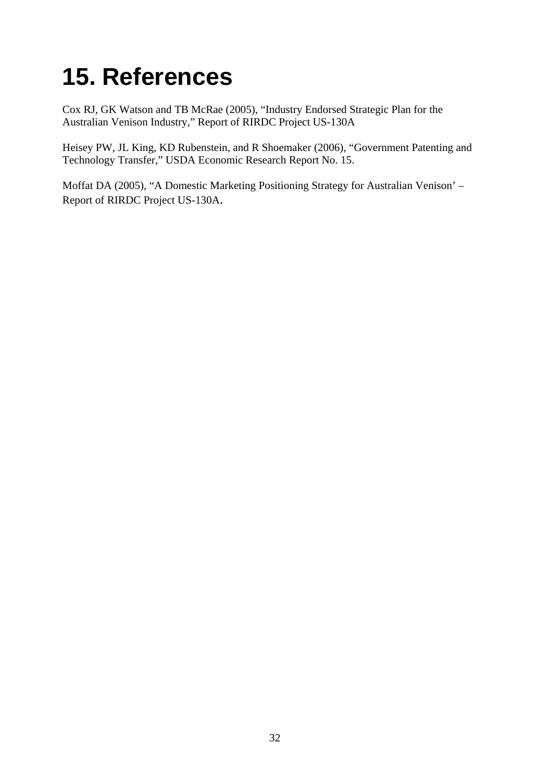## <span id="page-38-0"></span>**15. References**

Cox RJ, GK Watson and TB McRae (2005), "Industry Endorsed Strategic Plan for the Australian Venison Industry," Report of RIRDC Project US-130A

Heisey PW, JL King, KD Rubenstein, and R Shoemaker (2006), "Government Patenting and Technology Transfer," USDA Economic Research Report No. 15.

Moffat DA (2005), "A Domestic Marketing Positioning Strategy for Australian Venison' – Report of RIRDC Project US-130A.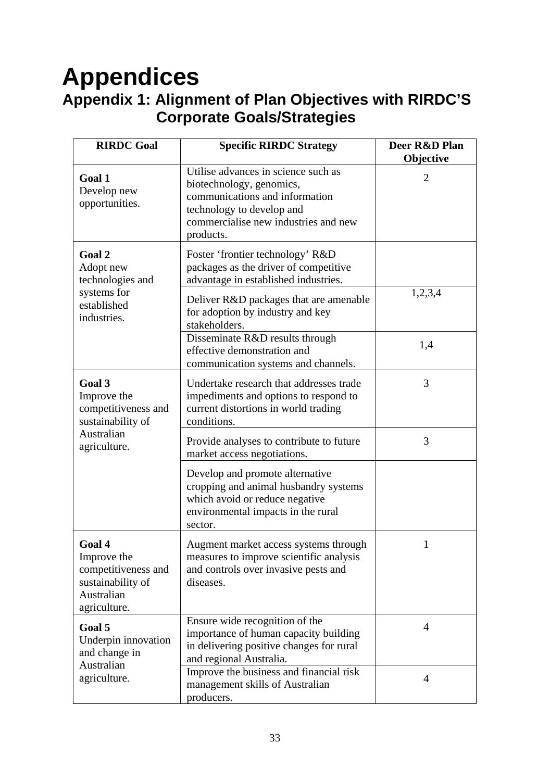## <span id="page-39-0"></span>**Appendices Appendix 1: Alignment of Plan Objectives with RIRDC'S Corporate Goals/Strategies**

| <b>RIRDC Goal</b>                                                                               | <b>Specific RIRDC Strategy</b>                                                                                                                                                      | Deer R&D Plan<br>Objective |
|-------------------------------------------------------------------------------------------------|-------------------------------------------------------------------------------------------------------------------------------------------------------------------------------------|----------------------------|
| Goal 1<br>Develop new<br>opportunities.                                                         | Utilise advances in science such as<br>biotechnology, genomics,<br>communications and information<br>technology to develop and<br>commercialise new industries and new<br>products. | 2                          |
| Goal 2<br>Adopt new<br>technologies and                                                         | Foster 'frontier technology' R&D<br>packages as the driver of competitive<br>advantage in established industries.                                                                   |                            |
| systems for<br>established<br>industries.                                                       | Deliver R&D packages that are amenable<br>for adoption by industry and key<br>stakeholders.                                                                                         | 1,2,3,4                    |
|                                                                                                 | Disseminate R&D results through<br>effective demonstration and<br>communication systems and channels.                                                                               | 1,4                        |
| Goal 3<br>Improve the<br>competitiveness and<br>sustainability of                               | Undertake research that addresses trade<br>impediments and options to respond to<br>current distortions in world trading<br>conditions.                                             | 3                          |
| Australian<br>agriculture.                                                                      | Provide analyses to contribute to future<br>market access negotiations.                                                                                                             | 3                          |
|                                                                                                 | Develop and promote alternative<br>cropping and animal husbandry systems<br>which avoid or reduce negative<br>environmental impacts in the rural<br>sector.                         |                            |
| Goal 4<br>Improve the<br>competitiveness and<br>sustainability of<br>Australian<br>agriculture. | Augment market access systems through<br>measures to improve scientific analysis<br>and controls over invasive pests and<br>diseases.                                               | 1                          |
| Goal 5<br>Underpin innovation<br>and change in<br>Australian                                    | Ensure wide recognition of the<br>importance of human capacity building<br>in delivering positive changes for rural<br>and regional Australia.                                      | 4                          |
| agriculture.                                                                                    | Improve the business and financial risk<br>management skills of Australian<br>producers.                                                                                            | 4                          |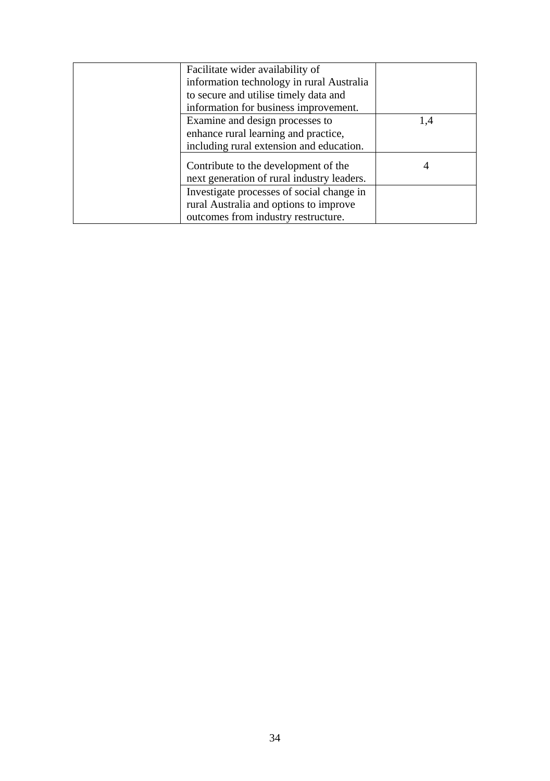| Facilitate wider availability of                                                   |     |
|------------------------------------------------------------------------------------|-----|
| information technology in rural Australia                                          |     |
| to secure and utilise timely data and                                              |     |
| information for business improvement.                                              |     |
| Examine and design processes to                                                    | 1,4 |
| enhance rural learning and practice,                                               |     |
| including rural extension and education.                                           |     |
| Contribute to the development of the<br>next generation of rural industry leaders. | 4   |
| Investigate processes of social change in                                          |     |
| rural Australia and options to improve                                             |     |
| outcomes from industry restructure.                                                |     |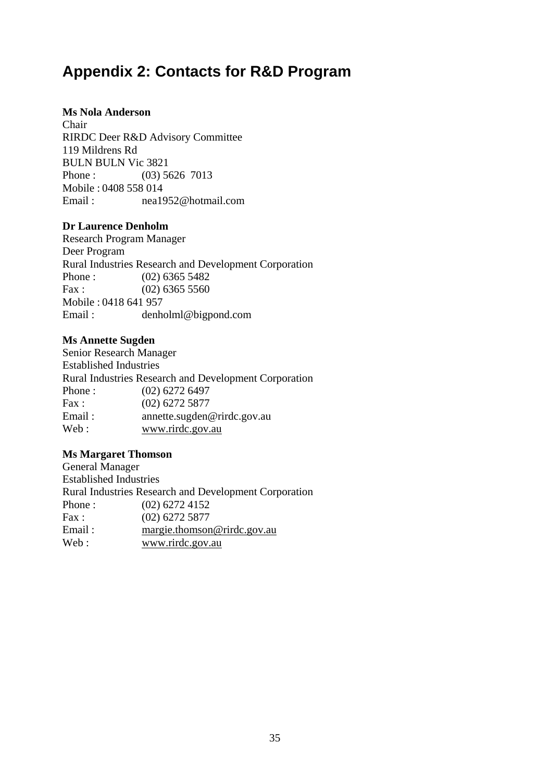### <span id="page-41-0"></span>**Appendix 2: Contacts for R&D Program**

#### **Ms Nola Anderson**

Chair RIRDC Deer R&D Advisory Committee 119 Mildrens Rd BULN BULN Vic 3821 Phone : (03) 5626 7013 Mobile : 0408 558 014 Email : nea1952@hotmail.com

#### **Dr Laurence Denholm**

Research Program Manager Deer Program Rural Industries Research and Development Corporation Phone : (02) 6365 5482 Fax :  $(02)$  6365 5560 Mobile : 0418 641 957 Email : denholml@bigpond.com

#### **Ms Annette Sugden**

Senior Research Manager Established Industries Rural Industries Research and Development Corporation Phone : (02) 6272 6497 Fax: (02) 6272 5877 Email: annette.sugden@rirdc.gov.au Web: [www.rirdc.gov.au](http://www.rirdc.gov.au/)

#### **Ms Margaret Thomson**

General Manager Established Industries Rural Industries Research and Development Corporation Phone : (02) 6272 4152 Fax : (02) 6272 5877 Email: [margie.thomson@rirdc.gov.au](mailto:margie.thomson@rirdc.gov.au) Web : [www.rirdc.gov.au](http://www.rirdc.gov.au/)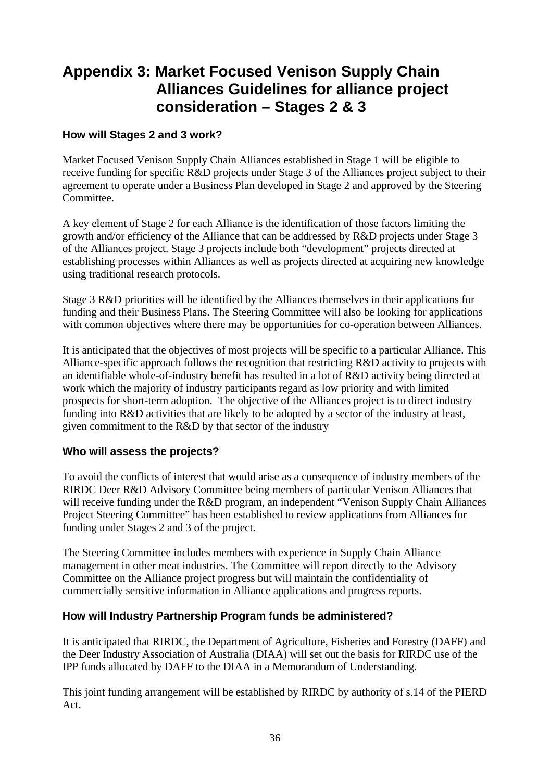### <span id="page-42-0"></span>**Appendix 3: Market Focused Venison Supply Chain Alliances Guidelines for alliance project consideration – Stages 2 & 3**

#### **How will Stages 2 and 3 work?**

Market Focused Venison Supply Chain Alliances established in Stage 1 will be eligible to receive funding for specific R&D projects under Stage 3 of the Alliances project subject to their agreement to operate under a Business Plan developed in Stage 2 and approved by the Steering Committee.

A key element of Stage 2 for each Alliance is the identification of those factors limiting the growth and/or efficiency of the Alliance that can be addressed by R&D projects under Stage 3 of the Alliances project. Stage 3 projects include both "development" projects directed at establishing processes within Alliances as well as projects directed at acquiring new knowledge using traditional research protocols.

Stage 3 R&D priorities will be identified by the Alliances themselves in their applications for funding and their Business Plans. The Steering Committee will also be looking for applications with common objectives where there may be opportunities for co-operation between Alliances.

It is anticipated that the objectives of most projects will be specific to a particular Alliance. This Alliance-specific approach follows the recognition that restricting R&D activity to projects with an identifiable whole-of-industry benefit has resulted in a lot of R&D activity being directed at work which the majority of industry participants regard as low priority and with limited prospects for short-term adoption. The objective of the Alliances project is to direct industry funding into R&D activities that are likely to be adopted by a sector of the industry at least, given commitment to the R&D by that sector of the industry

#### **Who will assess the projects?**

To avoid the conflicts of interest that would arise as a consequence of industry members of the RIRDC Deer R&D Advisory Committee being members of particular Venison Alliances that will receive funding under the R&D program, an independent "Venison Supply Chain Alliances Project Steering Committee" has been established to review applications from Alliances for funding under Stages 2 and 3 of the project.

The Steering Committee includes members with experience in Supply Chain Alliance management in other meat industries. The Committee will report directly to the Advisory Committee on the Alliance project progress but will maintain the confidentiality of commercially sensitive information in Alliance applications and progress reports.

#### **How will Industry Partnership Program funds be administered?**

It is anticipated that RIRDC, the Department of Agriculture, Fisheries and Forestry (DAFF) and the Deer Industry Association of Australia (DIAA) will set out the basis for RIRDC use of the IPP funds allocated by DAFF to the DIAA in a Memorandum of Understanding.

This joint funding arrangement will be established by RIRDC by authority of s.14 of the PIERD Act.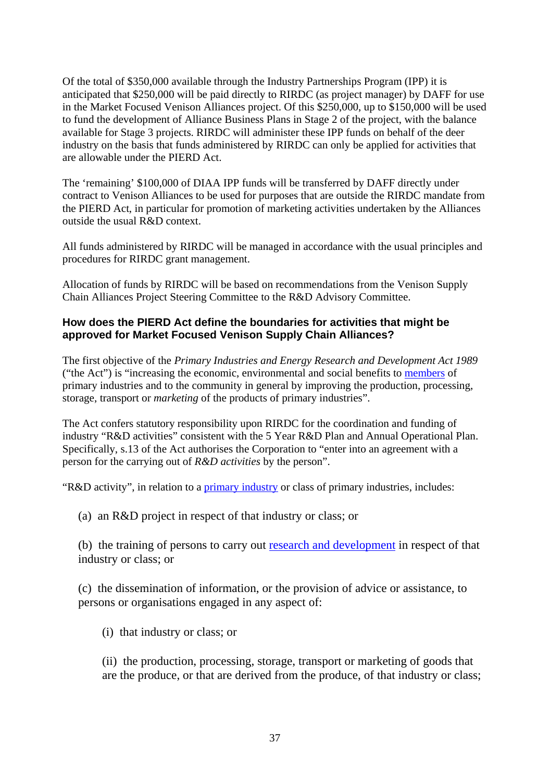Of the total of \$350,000 available through the Industry Partnerships Program (IPP) it is anticipated that \$250,000 will be paid directly to RIRDC (as project manager) by DAFF for use in the Market Focused Venison Alliances project. Of this \$250,000, up to \$150,000 will be used to fund the development of Alliance Business Plans in Stage 2 of the project, with the balance available for Stage 3 projects. RIRDC will administer these IPP funds on behalf of the deer industry on the basis that funds administered by RIRDC can only be applied for activities that are allowable under the PIERD Act.

The 'remaining' \$100,000 of DIAA IPP funds will be transferred by DAFF directly under contract to Venison Alliances to be used for purposes that are outside the RIRDC mandate from the PIERD Act, in particular for promotion of marketing activities undertaken by the Alliances outside the usual  $\overline{R} \& D$  context.

All funds administered by RIRDC will be managed in accordance with the usual principles and procedures for RIRDC grant management.

Allocation of funds by RIRDC will be based on recommendations from the Venison Supply Chain Alliances Project Steering Committee to the R&D Advisory Committee.

### **How does the PIERD Act define the boundaries for activities that might be approved for Market Focused Venison Supply Chain Alliances?**

The first objective of the *Primary Industries and Energy Research and Development Act 1989*  ("the Act") is "increasing the economic, environmental and social benefits to [members](http://www.austlii.edu.au/au/legis/cth/consol_act/piaerada1989531/s4.html#member) of primary industries and to the community in general by improving the production, processing, storage, transport or *marketing* of the products of primary industries".

The Act confers statutory responsibility upon RIRDC for the coordination and funding of industry "R&D activities" consistent with the 5 Year R&D Plan and Annual Operational Plan. Specifically, s.13 of the Act authorises the Corporation to "enter into an agreement with a person for the carrying out of *R&D activities* by the person".

"R&D activity", in relation to a [primary industry](http://www.austlii.edu.au/au/legis/cth/consol_act/piaerada1989531/s4.html#primary_industry) or class of primary industries, includes:

(a) an R&D project in respect of that industry or class; or

(b) the training of persons to carry out [research and development](http://www.austlii.edu.au/au/legis/cth/consol_act/piaerada1989531/s4.html#research_and_development) in respect of that industry or class; or

(c) the dissemination of information, or the provision of advice or assistance, to persons or organisations engaged in any aspect of:

(i) that industry or class; or

(ii) the production, processing, storage, transport or marketing of goods that are the produce, or that are derived from the produce, of that industry or class;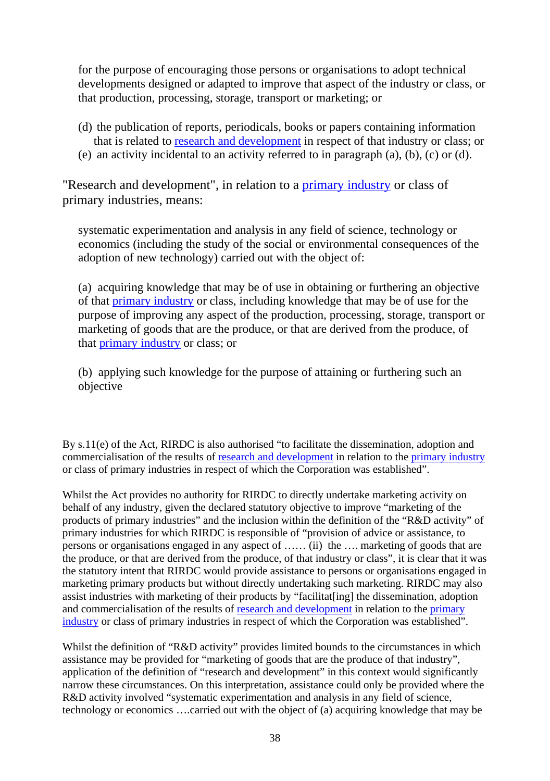for the purpose of encouraging those persons or organisations to adopt technical developments designed or adapted to improve that aspect of the industry or class, or that production, processing, storage, transport or marketing; or

- (d) the publication of reports, periodicals, books or papers containing information that is related to [research and development](http://www.austlii.edu.au/au/legis/cth/consol_act/piaerada1989531/s4.html#research_and_development) in respect of that industry or class; or
- (e) an activity incidental to an activity referred to in paragraph (a), (b), (c) or (d).

"Research and development", in relation to a [primary industry](http://www.austlii.edu.au/au/legis/cth/consol_act/piaerada1989531/s4.html#primary_industry) or class of primary industries, means:

systematic experimentation and analysis in any field of science, technology or economics (including the study of the social or environmental consequences of the adoption of new technology) carried out with the object of:

(a) acquiring knowledge that may be of use in obtaining or furthering an objective of that [primary industry](http://www.austlii.edu.au/au/legis/cth/consol_act/piaerada1989531/s4.html#primary_industry) or class, including knowledge that may be of use for the purpose of improving any aspect of the production, processing, storage, transport or marketing of goods that are the produce, or that are derived from the produce, of that [primary industry](http://www.austlii.edu.au/au/legis/cth/consol_act/piaerada1989531/s4.html#primary_industry) or class; or

(b) applying such knowledge for the purpose of attaining or furthering such an objective

By s.11(e) of the Act*,* RIRDC is also authorised "to facilitate the dissemination, adoption and commercialisation of the results of [research and development](http://www.austlii.edu.au/au/legis/cth/consol_act/piaerada1989531/s4.html#research_and_development) in relation to the [primary industry](http://www.austlii.edu.au/au/legis/cth/consol_act/piaerada1989531/s4.html#primary_industry) or class of primary industries in respect of which the Corporation was established".

Whilst the Act provides no authority for RIRDC to directly undertake marketing activity on behalf of any industry, given the declared statutory objective to improve "marketing of the products of primary industries" and the inclusion within the definition of the "R&D activity" of primary industries for which RIRDC is responsible of "provision of advice or assistance, to persons or organisations engaged in any aspect of …… (ii) the …. marketing of goods that are the produce, or that are derived from the produce, of that industry or class", it is clear that it was the statutory intent that RIRDC would provide assistance to persons or organisations engaged in marketing primary products but without directly undertaking such marketing. RIRDC may also assist industries with marketing of their products by "facilitat[ing] the dissemination, adoption and commercialisation of the results of [research and development](http://www.austlii.edu.au/au/legis/cth/consol_act/piaerada1989531/s4.html#research_and_development) in relation to the [primary](http://www.austlii.edu.au/au/legis/cth/consol_act/piaerada1989531/s4.html#primary_industry)  [industry](http://www.austlii.edu.au/au/legis/cth/consol_act/piaerada1989531/s4.html#primary_industry) or class of primary industries in respect of which the Corporation was established".

Whilst the definition of "R&D activity" provides limited bounds to the circumstances in which assistance may be provided for "marketing of goods that are the produce of that industry", application of the definition of "research and development" in this context would significantly narrow these circumstances. On this interpretation, assistance could only be provided where the R&D activity involved "systematic experimentation and analysis in any field of science, technology or economics ….carried out with the object of (a) acquiring knowledge that may be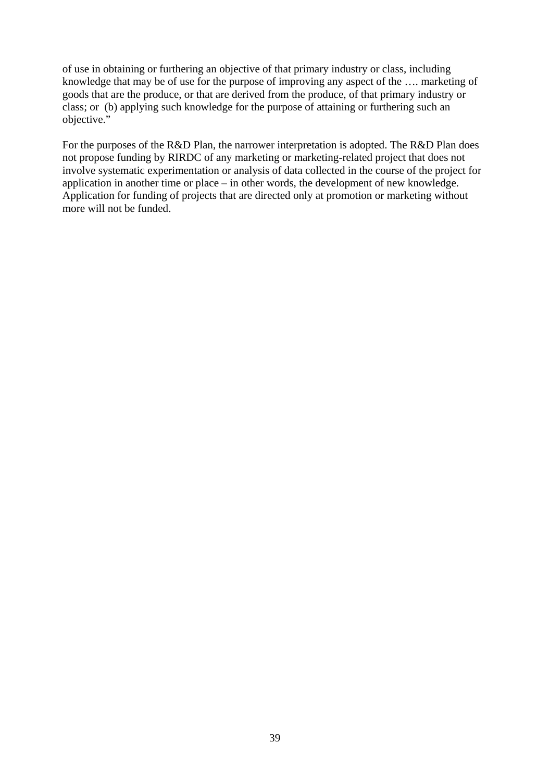of use in obtaining or furthering an objective of that primary industry or class, including knowledge that may be of use for the purpose of improving any aspect of the …. marketing of goods that are the produce, or that are derived from the produce, of that primary industry or class; or (b) applying such knowledge for the purpose of attaining or furthering such an objective."

For the purposes of the R&D Plan, the narrower interpretation is adopted. The R&D Plan does not propose funding by RIRDC of any marketing or marketing-related project that does not involve systematic experimentation or analysis of data collected in the course of the project for application in another time or place – in other words, the development of new knowledge. Application for funding of projects that are directed only at promotion or marketing without more will not be funded.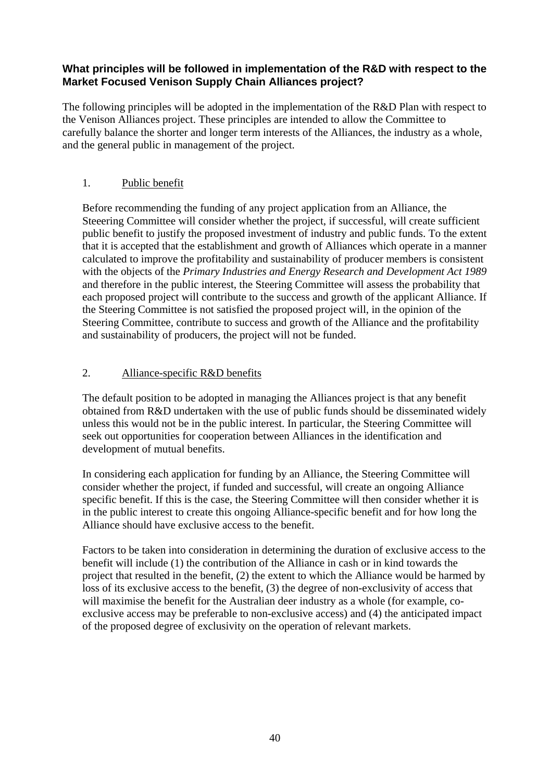#### **What principles will be followed in implementation of the R&D with respect to the Market Focused Venison Supply Chain Alliances project?**

The following principles will be adopted in the implementation of the R&D Plan with respect to the Venison Alliances project. These principles are intended to allow the Committee to carefully balance the shorter and longer term interests of the Alliances, the industry as a whole, and the general public in management of the project.

#### 1. Public benefit

Before recommending the funding of any project application from an Alliance, the Steeering Committee will consider whether the project, if successful, will create sufficient public benefit to justify the proposed investment of industry and public funds. To the extent that it is accepted that the establishment and growth of Alliances which operate in a manner calculated to improve the profitability and sustainability of producer members is consistent with the objects of the *Primary Industries and Energy Research and Development Act 1989*  and therefore in the public interest, the Steering Committee will assess the probability that each proposed project will contribute to the success and growth of the applicant Alliance. If the Steering Committee is not satisfied the proposed project will, in the opinion of the Steering Committee, contribute to success and growth of the Alliance and the profitability and sustainability of producers, the project will not be funded.

#### 2. Alliance-specific R&D benefits

The default position to be adopted in managing the Alliances project is that any benefit obtained from R&D undertaken with the use of public funds should be disseminated widely unless this would not be in the public interest. In particular, the Steering Committee will seek out opportunities for cooperation between Alliances in the identification and development of mutual benefits.

In considering each application for funding by an Alliance, the Steering Committee will consider whether the project, if funded and successful, will create an ongoing Alliance specific benefit. If this is the case, the Steering Committee will then consider whether it is in the public interest to create this ongoing Alliance-specific benefit and for how long the Alliance should have exclusive access to the benefit.

Factors to be taken into consideration in determining the duration of exclusive access to the benefit will include (1) the contribution of the Alliance in cash or in kind towards the project that resulted in the benefit, (2) the extent to which the Alliance would be harmed by loss of its exclusive access to the benefit, (3) the degree of non-exclusivity of access that will maximise the benefit for the Australian deer industry as a whole (for example, coexclusive access may be preferable to non-exclusive access) and (4) the anticipated impact of the proposed degree of exclusivity on the operation of relevant markets.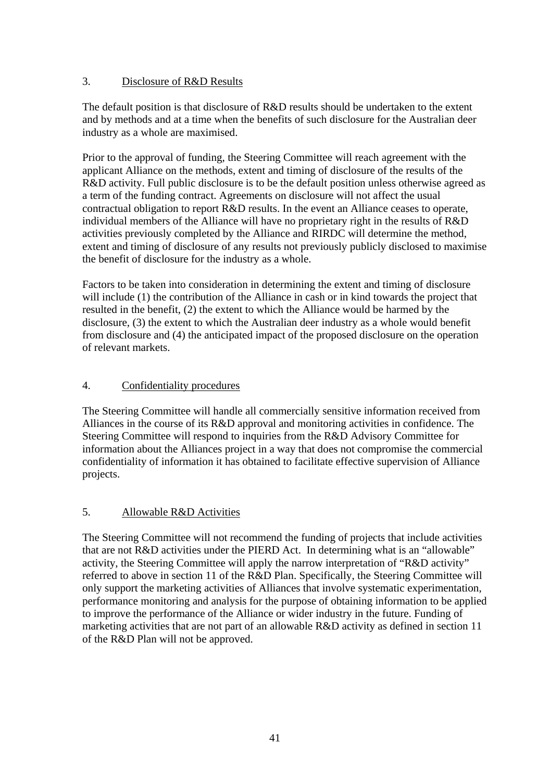### 3. Disclosure of R&D Results

The default position is that disclosure of R&D results should be undertaken to the extent and by methods and at a time when the benefits of such disclosure for the Australian deer industry as a whole are maximised.

Prior to the approval of funding, the Steering Committee will reach agreement with the applicant Alliance on the methods, extent and timing of disclosure of the results of the R&D activity. Full public disclosure is to be the default position unless otherwise agreed as a term of the funding contract. Agreements on disclosure will not affect the usual contractual obligation to report R&D results. In the event an Alliance ceases to operate, individual members of the Alliance will have no proprietary right in the results of R&D activities previously completed by the Alliance and RIRDC will determine the method, extent and timing of disclosure of any results not previously publicly disclosed to maximise the benefit of disclosure for the industry as a whole.

Factors to be taken into consideration in determining the extent and timing of disclosure will include (1) the contribution of the Alliance in cash or in kind towards the project that resulted in the benefit, (2) the extent to which the Alliance would be harmed by the disclosure, (3) the extent to which the Australian deer industry as a whole would benefit from disclosure and (4) the anticipated impact of the proposed disclosure on the operation of relevant markets.

#### 4. Confidentiality procedures

The Steering Committee will handle all commercially sensitive information received from Alliances in the course of its R&D approval and monitoring activities in confidence. The Steering Committee will respond to inquiries from the R&D Advisory Committee for information about the Alliances project in a way that does not compromise the commercial confidentiality of information it has obtained to facilitate effective supervision of Alliance projects.

#### 5. Allowable R&D Activities

The Steering Committee will not recommend the funding of projects that include activities that are not R&D activities under the PIERD Act. In determining what is an "allowable" activity, the Steering Committee will apply the narrow interpretation of "R&D activity" referred to above in section 11 of the R&D Plan. Specifically, the Steering Committee will only support the marketing activities of Alliances that involve systematic experimentation, performance monitoring and analysis for the purpose of obtaining information to be applied to improve the performance of the Alliance or wider industry in the future. Funding of marketing activities that are not part of an allowable R&D activity as defined in section 11 of the R&D Plan will not be approved.